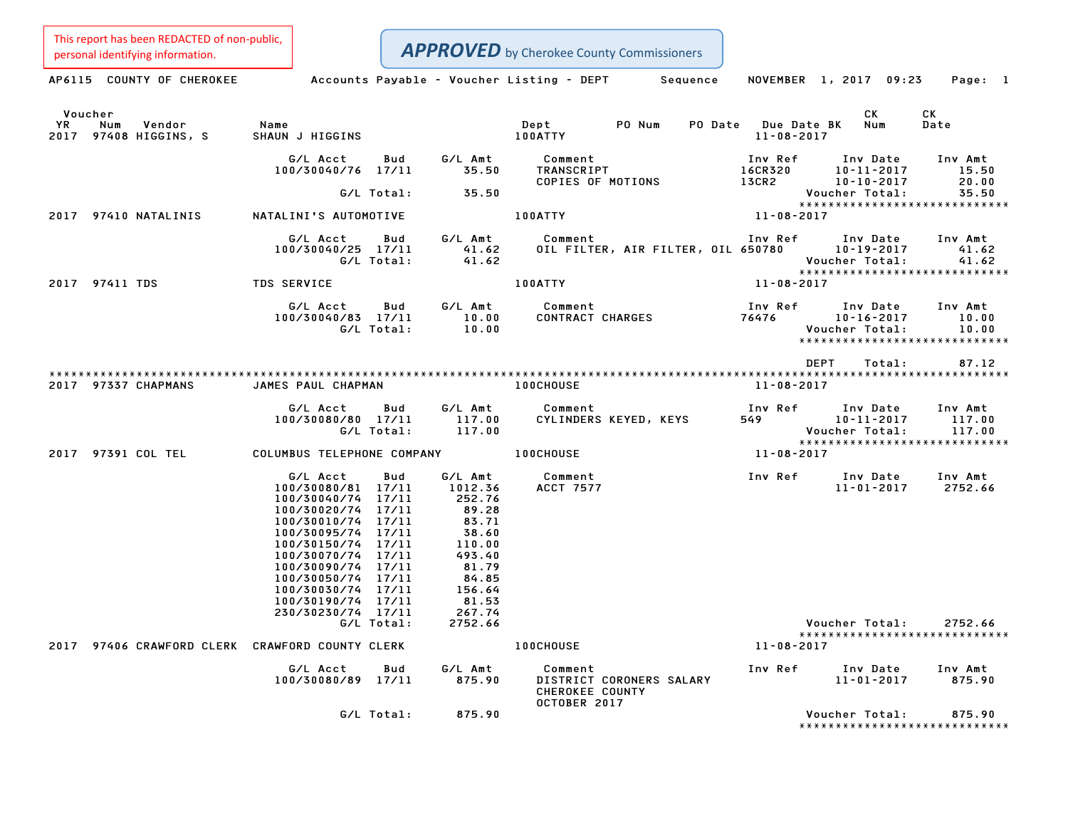This report has been REDACTED of non-public,

**APPROVED** by Cherokee County Commissioners

Personalidentifying information.<br>
AP6115 COUNTY OF CHEROKEE Accounts Payable - Voucher Listing - DEPT Sequence NOVEMBER 1, 2017 09:23 Page: 1 Voucher CK CK YR Num Vendor Name Dept PO Num PO Date Due Date BK Num Date <sup>2017</sup> <sup>97408</sup> HIGGINS, <sup>S</sup> SHAUN <sup>J</sup> HIGGINS 100ATTY 11-08-2017 G/L Acct Bud G/L Amt Comment Inv Ref Inv Date Inv Amt 100/30040/76 17/11 35.50 TRANSCRIPT 16CR320 10-11-2017 15.50 COPIES OF MOTIONS 13CR2 10-10-2017 20.00 G/L Total: 35.50 Voucher Total: 35.50 \*\*\*\*\*\*\*\*\*\*\*\*\*\*\*\*\*\*\*\*\*\*\*\*\*\*\*\*\* <sup>2017</sup> <sup>97410</sup> NATALINIS NATALINI'S AUTOMOTIVE 100ATTY 11-08-2017 G/L Acct Bud G/L Amt Comment Inv Ref Inv Date Inv Amt 100/30040/25 17/11 41.62 OIL FILTER, AIR FILTER, OIL <sup>650780</sup> 10-19-2017 41.62 G/L Total: 41.62 Voucher Total: 41.62 \*\*\*\*\*\*\*\*\*\*\*\*\*\*\*\*\*\*\*\*\*\*\*\*\*\*\*\*\* <sup>2017</sup> <sup>97411</sup> TDS TDS SERVICE 100ATTY 11-08-2017 G/L Acct Bud G/L Amt Comment Inv Ref Inv Date Inv Amt 100/1910 G/L Acct Bud G/L Amt Comment Inv Ref Inv Date Inv Amt<br>100/30040/83 17/11 10.00 CONTRACT CHARGES 76476 10-16-2017 10.00 G/L Total: 10.00 Voucher Total: 10.00 10.00 10-16-2017 10.00<br>Voucher Total: 10.00<br>\*\*\*\*\*\*\*\*\*\*\*\*\*\*\*\*\*\*\*\*\*\*\*\*\*\*\*\*\*\* \*\*\*\*\*\*\*\*\*\*\*\*\*\*\*\*\*\*\*\*\*\*\*\*<br>DEPT Total: 87.12 \*\*\*\*\*\*\*\*\*\*\*\*\*\*\*\*\*\*\*\*\*\*\*\*\*\*\*\*\*\*\*\*\*\*\*\*\*\*\*\*\*\*\*\*\*\*\*\*\*\*\*\*\*\*\*\*\*\*\*\*\*\*\*\*\*\*\*\*\*\*\*\*\*\*\*\*\*\*\*\*\*\*\*\*\*\*\*\*\*\*\*\*\*\*\*\*\*\*\*\*\*\*\*\*\*\*\*\*\*\*\*\*\*\*\*\*\*\*\*\*\*\*\*\*\*\*\*\*\*\*\*\* <sup>2017</sup> <sup>97337</sup> CHAPMANS JAMES PAUL CHAPMAN 100CHOUSE 11-08-2017 G/L Acct Bud G/L Amt Comment Inv Ref Inv Date Inv Amt .<br>100/30080/80 17/11 17.00 Comment Inv Ref Inv Date Inv Amt<br>100/30080/80 17/11 117.00 CYLINDERS KEYED, KEYS 549 10–11–2017 117.00 G/L Total: 117.00 Voucher Total: 117.00 \*\*\*\*\*\*\*\*\*\*\*\*\*\*\*\*\*\*\*\*\*\*\*\*\*\*\*\*\* <sup>2017</sup> <sup>97391</sup> COL TEL COLUMBUS TELEPHONE COMPANY 100CHOUSE 11-08-2017 G/L Acct Bud G/L Amt Comment Inv Ref Inv Date Inv Amt 100/30080/81 17/11 1012.36 ACCT <sup>7577</sup> 11-01-2017 2752.66 6/L Acct Bud 6/L Amt<br>100/30080/81 17/11 1012.36<br>100/30040/74 17/11 252.76 100/30020/74 17/11 89.28 100/30010/74 17/11 83.71 100/30020/74 17/11 89.28<br>100/30010/74 17/11 83.71<br>100/30095/74 17/11 38.60 100/30150/74 17/11 110.00 100/30070/74 17/11 493.40 100/30090/74 17/11 81.79 100/30050/74 17/11 84.85 100/30030/74 17/11 156.64 100/30190/74 17/11 81.53 100/30030/74 17/11 156.64<br>100/30190/74 17/11 81.53<br>230/30230/74 17/11 267.74 G/L Total: 2752.66 Voucher Total: 2752.66 Voucher Total: 2752.66<br>\*\*\*\*\*\*\*\*\*\*\*\*\*\*\*\*\*\*\*\*\*\*\*\*\*\*\*\* <sup>2017</sup> <sup>97406</sup> CRAWFORD CLERK CRAWFORD COUNTY CLERK 100CHOUSE 11-08-2017 WFORD COUNTY CLERK 100CHOUSE 11–08–2017<br> G/L Amt Comment Inv Ref Inv Date Inv Amt 4 G/L Acct Bud G/L Amt Comment Inv Ref Inv Date Inv Amt<br>100/30080/89 17/11 875.90 DISTRICT CORONERS SALARY 11–01–2017 875.90 Comment<br>DISTRICT CORONERS SALARY CHEROKEE COUNTY<br>OCTOBER 2017 G/L Total: 875.90 Voucher Total: 875.90 Voucher Total: 875.90<br>\*\*\*\*\*\*\*\*\*\*\*\*\*\*\*\*\*\*\*\*\*\*\*\*\*\*\*\*\*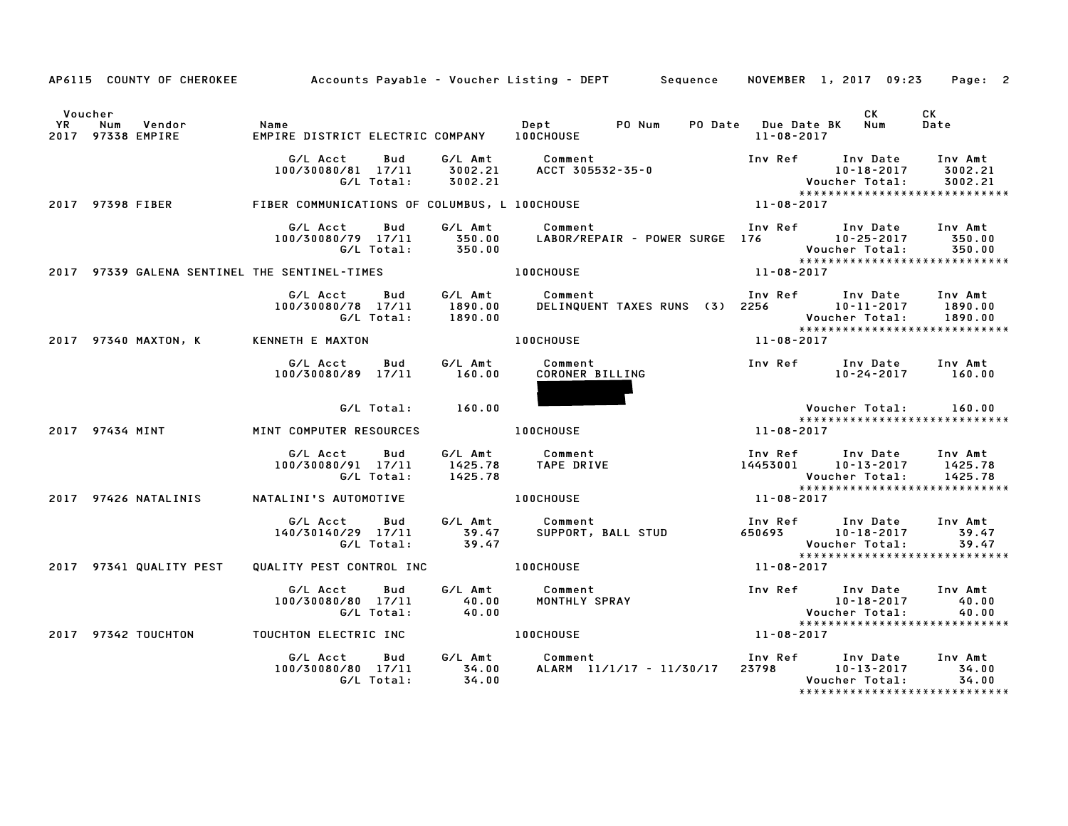|               | AP6115 COUNTY OF CHEROKEE                     |                                                     |                               | Accounts Payable – Voucher Listing – DEPT         Sequence |                  | NOVEMBER 1, 2017 09:23                                                                           | Page: 2                       |
|---------------|-----------------------------------------------|-----------------------------------------------------|-------------------------------|------------------------------------------------------------|------------------|--------------------------------------------------------------------------------------------------|-------------------------------|
| Voucher<br>YR | Vendor<br>Num<br>2017 97338 EMPIRE            | Name<br>EMPIRE DISTRICT ELECTRIC COMPANY 100CHOUSE  |                               | PO Num<br>Dept                                             | 11-08-2017       | CK<br>PO Date Due Date BK Num                                                                    | <b>CK</b><br>Date             |
|               |                                               | G/L Acct<br>Bud<br>100/30080/81 17/11<br>G/L Total: | G/L Amt<br>3002.21<br>3002.21 | Comment<br>ACCT 305532-75 C<br>ACCT 305532-35-0            |                  | Inv Ref Inv Date<br>10-18-2017<br>Voucher Total:<br>*****************************                | Inv Amt<br>3002.21<br>3002.21 |
|               | 2017 97398 FIBER                              | FIBER COMMUNICATIONS OF COLUMBUS, L 100CHOUSE       |                               | $11 - 08 - 2017$                                           |                  |                                                                                                  |                               |
|               |                                               | G/L Acct<br>Bud<br>100/30080/79 17/11<br>G/L Total: | G/L Amt<br>350.00<br>350.00   | Comment<br>LABOR/REPAIR - POWER SURGE 176 10-25-2017       |                  | Inv Ref      Inv Date<br>Voucher Total:                                                          | Inv Amt<br>350.00<br>350.00   |
|               | 2017 97339 GALENA SENTINEL THE SENTINEL-TIMES |                                                     |                               | <b>100CHOUSE</b>                                           | $11 - 08 - 2017$ |                                                                                                  |                               |
|               |                                               | G/L Acct<br>Bud<br>100/30080/78 17/11<br>G/L Total: | G/L Amt<br>1890.00<br>1890.00 | Comment<br>DELINQUENT TAXES RUNS (3) 2256                  |                  | Inv Ref Inv Date<br>10-11-2017<br>Voucher Total:<br>******************************               | Inv Amt<br>1890.00<br>1890.00 |
|               | 2017 97340 MAXTON, K                          | KENNETH E MAXTON                                    |                               | <b>100CHOUSE</b>                                           | 11-08-2017       |                                                                                                  |                               |
|               |                                               | G/L Acct<br><b>Bud</b><br>100/30080/89 17/11        | G/L Amt<br>160.00             | Comment<br>CORONER BILLING                                 |                  | Inv Ref Inv Date<br>10-24-2017                                                                   | Inv Amt<br>160.00             |
|               |                                               | G/L Total:                                          | 160.00                        |                                                            |                  | Voucher Total:<br>*****************************                                                  | 160.00                        |
|               | 2017 97434 MINT                               | MINT COMPUTER RESOURCES                             |                               | <b>100CHOUSE</b>                                           | 11-08-2017       |                                                                                                  |                               |
|               |                                               | G/L Acct<br>Bud<br>100/30080/91 17/11<br>G/L Total: | 1425.78<br>1425.78            | G/L Amt Comment<br>TAPE DRIVE                              |                  | Inv Ref      Inv Date<br>14453001 10-13-2017<br>Voucher Total:<br>*****************************  | Inv Amt<br>1425.78<br>1425.78 |
|               | 2017 97426 NATALINIS                          | NATALINI'S AUTOMOTIVE                               |                               | <b>100CHOUSE</b>                                           | 11-08-2017       |                                                                                                  |                               |
|               |                                               | G/L Acct<br>Bud<br>140/30140/29 17/11<br>G/L Total: | G⁄L Amt<br>39.47<br>39.47     | Comment<br>SUPPORT, BALL STUD                              |                  | Inv Ref Inv Date Inv Amt<br>650693 10-18-2017<br>Voucher Total:<br>***************************** | 39.47<br>39.47                |
|               | 2017 97341 QUALITY PEST                       | QUALITY PEST CONTROL INC <b>100CHOUSE</b>           |                               |                                                            | 11-08-2017       |                                                                                                  |                               |
|               |                                               | G/L Acct<br>Bud<br>100/30080/80 17/11<br>G/L Total: | G/L Amt<br>40.00<br>40.00     | Comment<br>MONTHLY SPRAY                                   |                  | Inv Ref Inv Date<br>10-18-2017<br>*****************************                                  | Inv Amt<br>40.00<br>40.00     |
|               | 2017 97342 TOUCHTON                           | TOUCHTON ELECTRIC INC                               |                               | <b>100CHOUSE</b>                                           | $11 - 08 - 2017$ |                                                                                                  |                               |
|               |                                               | G/L Acct<br>Bud<br>100/30080/80 17/11<br>G/L Total: | 34.00<br>34.00                | G/L Amt Comment<br>ALARM 11/1/17 - 11/30/17                |                  | Inv Ref Inv Date<br>23798 10-13-2017<br>Voucher Total:<br>*****************************          | Inv Amt<br>34.00<br>34.00     |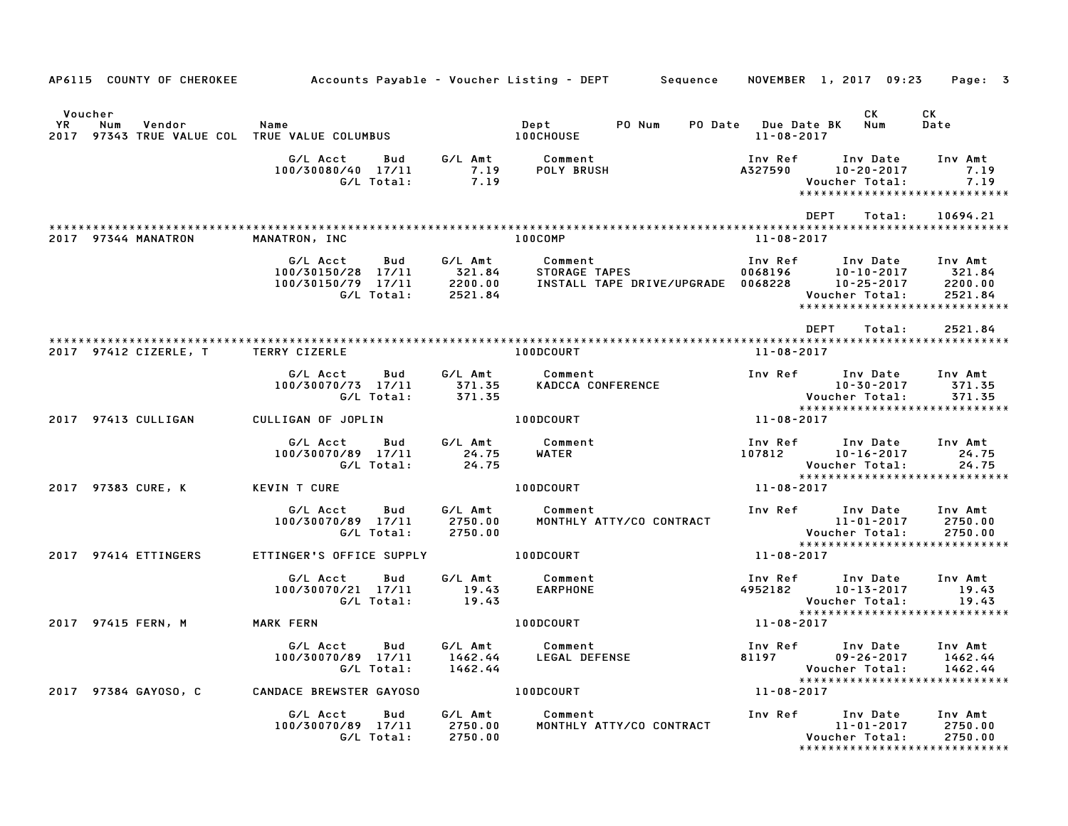| AP6115 COUNTY OF CHEROKEE              |                                                                           |                                         | Accounts Payable – Voucher Listing – DEPT        Sequence |                    | NOVEMBER 1, 2017 09:23                                                                       | Page: 3                                 |
|----------------------------------------|---------------------------------------------------------------------------|-----------------------------------------|-----------------------------------------------------------|--------------------|----------------------------------------------------------------------------------------------|-----------------------------------------|
|                                        |                                                                           |                                         |                                                           |                    |                                                                                              |                                         |
| Voucher<br>YR<br>Num<br>Vendor<br>2017 | Name<br>97343 TRUE VALUE COL TRUE VALUE COLUMBUS                          |                                         | Dept<br>PO Num<br><b>100CHOUSE</b>                        | $11 - 08 - 2017$   | CK<br>PO Date Due Date BK Num                                                                | CK<br>Date                              |
|                                        | G/L Acct<br>Bud<br>100/30080/40 17/11<br>G/L Total:                       | 7.19<br>7.19                            | G/L Amt Comment<br>7.19 POLY BRUS<br><b>POLY BRUSH</b>    | Inv Ref<br>A327590 | Inv Date<br>10-20-2017<br>Voucher Total:<br>*****************************                    | Inv Amt<br>7.19<br>7.19                 |
|                                        |                                                                           |                                         |                                                           |                    | <b>DEPT</b><br>Total:                                                                        | 10694.21                                |
| 2017 97344 MANATRON                    | MANATRON, INC                                                             |                                         | 100COMP                                                   | 11-08-2017         |                                                                                              |                                         |
|                                        | G/L Acct<br>Bud<br>100/30150/28 17/11<br>100/30150/79 17/11<br>G/L Total: | G/L Amt<br>321.84<br>2200.00<br>2521.84 | Comment                                                   |                    | Voucher Total:<br>*****************************                                              | Inv Amt<br>321.84<br>2200.00<br>2521.84 |
|                                        |                                                                           |                                         |                                                           |                    | <b>DEPT</b><br>Total:                                                                        | 2521.84                                 |
| 2017 97412 CIZERLE, T                  | <b>TERRY CIZERLE</b>                                                      |                                         | <b>100DCOURT</b>                                          | 11-08-2017         |                                                                                              |                                         |
|                                        | G/L Acct<br>Bud<br>100/30070/73 17/11<br>G/L Total:                       | G/L Amt<br>371.35<br>371.35             | Comment<br>KADCCA CONFERENCE                              |                    | Inv Ref      Inv Date<br>10–30–2017<br>10-30-2017<br>:Voucher Total<br>.×××××××××××××××××    | Inv Amt<br>371.35<br>371.35             |
| 2017 97413 CULLIGAN                    | CULLIGAN OF JOPLIN                                                        |                                         | 100DCOURT                                                 | $11 - 08 - 2017$   | *****************************                                                                |                                         |
|                                        | G/L Acct<br>Bud<br>100/30070/89 17/11<br>G/L Total:                       | G/L Amt<br>24.75<br>24.75               | Comment<br>WATER                                          |                    | Inv Ref Inv Date<br>107812 10–16–2017<br>Voucher Total:                                      | Inv Amt<br>24.75<br>24.75               |
| 2017 97383 CURE, K                     | <b>KEVIN T CURE</b>                                                       |                                         | 100DC0URT                                                 | 11-08-2017         | *****************************                                                                |                                         |
|                                        | G/L Acct<br>Bud<br>100/30070/89 17/11<br>G/L Total:                       | G/L Amt<br>2750.00<br>2750.00           | Comment<br>MONTHLY ATTY/CO CONTRACT                       |                    | Inv Ref Inv Date<br>unv Date<br>11-01-2017<br>:Voucher Total                                 | Inv Amt<br>2750.00<br>2750.00           |
| 2017 97414 ETTINGERS                   | ETTINGER'S OFFICE SUPPLY                                                  |                                         | 100DCOURT                                                 | 11-08-2017         | *****************************                                                                |                                         |
|                                        | G/L Acct<br>Bud<br>100/30070/21 17/11<br>G/L Total:                       | G/L Amt<br>19.43<br>19.43               | Comment<br><b>EARPHONE</b>                                |                    | Inv Ref Inv Date<br>4952182 10–13–2017<br>Voucher Total:                                     | Inv Amt<br>19.43<br>19.43               |
| 2017 97415 FERN, M                     | MARK FERN                                                                 |                                         | 100DCOURT                                                 | 11-08-2017         |                                                                                              |                                         |
|                                        | G/L Acct<br>Bud<br>100/30070/89 17/11<br>G/L Total:                       | G/L Amt<br>1462.44<br>1462.44           | Comment<br>LEGAL DEFENSE                                  | 81197              | Inv Ref      Inv Date<br>$09 - 26 - 2017$<br>Voucher Total:<br>***************************** | Inv Amt<br>1462.44<br>1462.44           |
| 2017 97384 GAY0SO, C                   | CANDACE BREWSTER GAYOSO                                                   |                                         | 100DCOURT                                                 | 11-08-2017         |                                                                                              |                                         |
|                                        | G/L Acct<br>Bud<br>100/30070/89 17/11<br>G/L Total:                       | G/L Amt<br>2750.00<br>2750.00           | Comment<br>MONTHLY ATTY/CO CONTRACT                       | Inv Ref            | Inv Date<br>11-01-2017<br>Voucher Total:                                                     | Inv Amt<br>2750.00<br>2750.00           |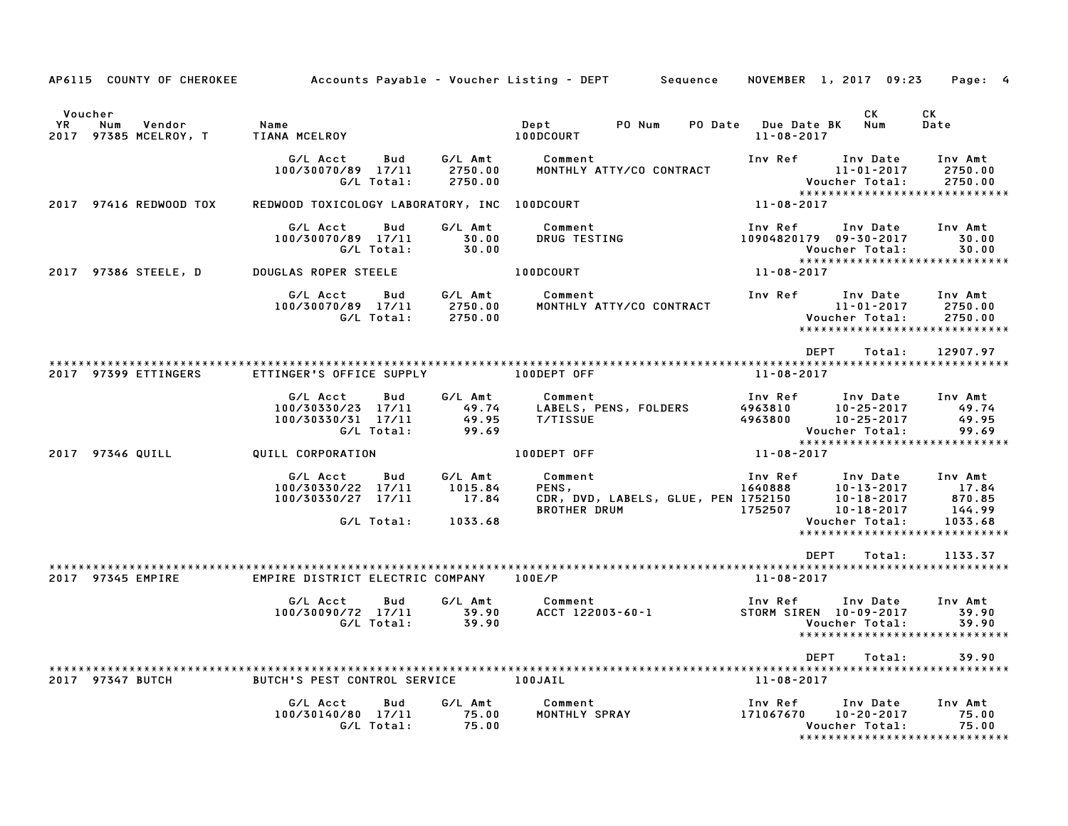| AP6115 COUNTY OF CHEROKEE                                      |                                                                              |                                        | Accounts Payable – Voucher Listing – DEPT<br>Sequence                          | NOVEMBER 1, 2017 09:23                                                                                                  | Page: 4                                                                          |
|----------------------------------------------------------------|------------------------------------------------------------------------------|----------------------------------------|--------------------------------------------------------------------------------|-------------------------------------------------------------------------------------------------------------------------|----------------------------------------------------------------------------------|
| Voucher<br><b>YR</b><br>Num<br>Vendor<br>2017 97385 MCELROY, T | Name<br>TIANA MCELROY                                                        |                                        | Dept<br>PO Num<br>PO Date<br>100DCOURT                                         | СK<br><b>Due Date BK</b><br>Num<br>$11 - 08 - 2017$                                                                     | СK<br>Date                                                                       |
|                                                                | G/L Acct<br>Bud<br>100/30070/89 17/11<br>G/L Total:                          | G/L Amt<br>2750.00<br>2750.00          | Comment<br>MONTHLY ATTY/CO CONTRACT                                            | Inv Ref<br>Inv Date<br>$11 - 01 - 2017$<br>Voucher Total:                                                               | Inv Amt<br>2750.00<br>2750.00<br>*****************************                   |
| 2017 97416 REDWOOD TOX                                         | REDWOOD TOXICOLOGY LABORATORY, INC 100DCOURT                                 |                                        |                                                                                | 11-08-2017                                                                                                              |                                                                                  |
|                                                                | G/L Acct<br>Bud<br>100/30070/89 17/11<br>G/L Total:                          | G/L Amt<br>30.00<br>30.00              | Comment<br>DRUG TESTING                                                        | Inv Ref<br>Inv Date<br>10904820179 09-30-2017<br>Voucher Total:                                                         | Inv Amt<br>30.00<br>30.00<br>*****************************                       |
| 2017 97386 STEELE, D                                           | DOUGLAS ROPER STEELE                                                         |                                        | 100DCOURT                                                                      | 11-08-2017                                                                                                              |                                                                                  |
|                                                                | G/L Acct<br>Bud<br>100/30070/89 17/11<br>G/L Total:                          | G/L Amt<br>2750.00<br>2750.00          | Comment<br>MONTHLY ATTY/CO CONTRACT                                            | Inv Ref<br>Inv Date<br>$11 - 01 - 2017$<br>Voucher Total:                                                               | Inv Amt<br>2750.00<br>2750.00<br>*****************************                   |
|                                                                |                                                                              |                                        |                                                                                | <b>DEPT</b><br>Total:                                                                                                   | 12907.97                                                                         |
| 2017 97399 ETTINGERS                                           | ETTINGER'S OFFICE SUPPLY                                                     |                                        | 100DEPT OFF                                                                    | 11-08-2017                                                                                                              |                                                                                  |
|                                                                | G/L Acct<br>Bud<br>100/30330/23<br>17/11<br>100/30330/31 17/11<br>G/L Total: | G/L Amt<br>49.74<br>49.95<br>99.69     | Comment<br>LABELS, PENS, FOLDERS<br><b>T/TISSUE</b>                            | Inv Ref<br>Inv Date<br>4963810<br>$10 - 25 - 2017$<br>4963800<br>$10 - 25 - 2017$<br>Voucher Total:                     | Inv Amt<br>49.74<br>49.95<br>99.69                                               |
| 2017 97346 QUILL                                               | QUILL CORPORATION                                                            |                                        | 100DEPT OFF                                                                    | 11-08-2017                                                                                                              | *****************************                                                    |
|                                                                | G/L Acct<br>Bud<br>100/30330/22 17/11<br>100/30330/27 17/11<br>G/L Total:    | G/L Amt<br>1015.84<br>17.84<br>1033.68 | Comment<br>PENS,<br>CDR, DVD, LABELS, GLUE, PEN 1752150<br><b>BROTHER DRUM</b> | Inv Ref<br>Inv Date<br>1640888<br>$10 - 13 - 2017$<br>$10 - 18 - 2017$<br>1752507<br>$10 - 18 - 2017$<br>Voucher Total: | Inv Amt<br>17.84<br>870.85<br>144.99<br>1033.68<br>***************************** |
|                                                                |                                                                              |                                        |                                                                                | <b>DEPT</b><br>Total:                                                                                                   | 1133.37                                                                          |
| 2017 97345 EMPIRE                                              | EMPIRE DISTRICT ELECTRIC COMPANY                                             |                                        | 100E/P                                                                         | $11 - 08 - 2017$                                                                                                        |                                                                                  |
|                                                                | G/L Acct<br>Bud<br>100/30090/72 17/11<br>G/L Total:                          | G/L Amt<br>39.90<br>39.90              | Comment<br>ACCT 122003-60-1                                                    | Inv Ref<br>Inv Date<br>STORM SIREN 10-09-2017<br>Voucher Total:                                                         | Inv Amt<br>39.90<br>39.90<br>*****************************                       |
|                                                                |                                                                              |                                        |                                                                                | <b>DEPT</b><br>Total:                                                                                                   | 39.90                                                                            |
| 2017 97347 BUTCH                                               | BUTCH'S PEST CONTROL SERVICE                                                 |                                        | 100JAIL                                                                        | $11 - 08 - 2017$                                                                                                        |                                                                                  |
|                                                                | G/L Acct<br>Bud<br>100/30140/80 17/11<br>G/L Total:                          | G/L Amt<br>75.00<br>75.00              | Comment<br>MONTHLY SPRAY                                                       | Inv Ref<br>Inv Date<br>171067670<br>$10 - 20 - 2017$<br>Voucher Total:                                                  | Inv Amt<br>75.00<br>75.00<br>*****************************                       |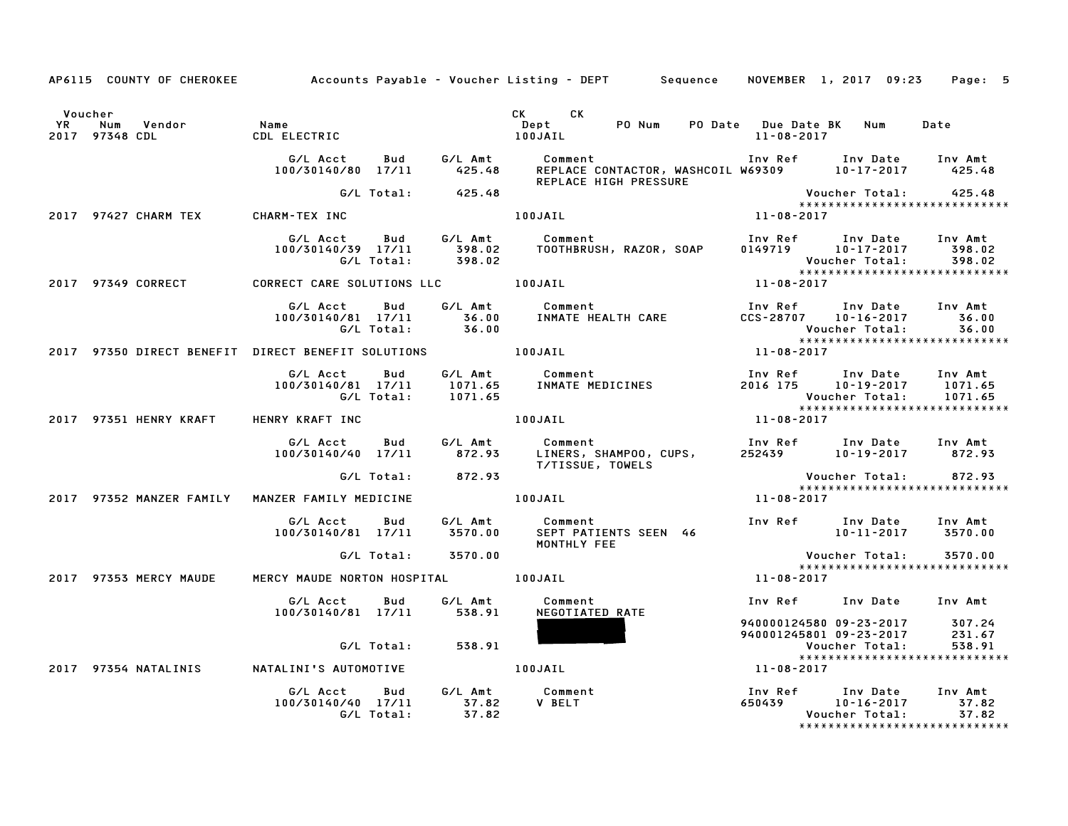|         |                                                            |                                                                              |                    | AP6115 COUNTY OF CHEROKEE Accounts Payable - Voucher Listing - DEPT Sequence                                                                                                                                                         |                                                                        | NOVEMBER 1, 2017 09:23                                                                    | Page: 5 |
|---------|------------------------------------------------------------|------------------------------------------------------------------------------|--------------------|--------------------------------------------------------------------------------------------------------------------------------------------------------------------------------------------------------------------------------------|------------------------------------------------------------------------|-------------------------------------------------------------------------------------------|---------|
| Voucher |                                                            |                                                                              |                    | CK CK                                                                                                                                                                                                                                |                                                                        |                                                                                           | Date    |
|         |                                                            |                                                                              |                    | REPLACE HIGH PRESSURE                                                                                                                                                                                                                |                                                                        |                                                                                           |         |
|         |                                                            |                                                                              | G/L Total: 425.48  |                                                                                                                                                                                                                                      |                                                                        |                                                                                           |         |
|         | 2017 97427 CHARM TEX          CHARM-TEX INC                |                                                                              |                    | 100JAIL                                                                                                                                                                                                                              | Voucher Total: 425.48<br>*******************************<br>11-08-2017 |                                                                                           |         |
|         |                                                            |                                                                              |                    | G/L Acct Bud G/L Amt Comment Inv Ref Inv Date Inv Amt<br>100/30140/39 17/11 398.02 TOOTHBRUSH, RAZOR, SOAP 0149719 10–17–2017 398.02<br>198.02 06/L Total: 398.02                                                                    |                                                                        |                                                                                           |         |
|         | 2017 97349 CORRECT                                         | CORRECT CARE SOLUTIONS LLC <b>100JAIL</b>                                    |                    |                                                                                                                                                                                                                                      | Voucher Total: 598.02<br>*****************************<br>11-08-2017   |                                                                                           |         |
|         |                                                            |                                                                              |                    | G/LAcct Bud G/LAmt Comment InvRef InvDate InvAmt<br>100/30140/81 17/11 36.00 INMATEHEALTHCARE CCS-28707 10-16-2017 36.00<br>G/LTotal: 36.00 INMATEHEALTHCARE CCS-28707 10-16-2017 36.00<br>RECT BENEFIT SOLUTIONS 100JAIL 11-08-2017 |                                                                        |                                                                                           |         |
|         | 2017 97350 DIRECT BENEFIT DIRECT BENEFIT SOLUTIONS 100JAIL |                                                                              |                    |                                                                                                                                                                                                                                      |                                                                        |                                                                                           |         |
|         |                                                            |                                                                              |                    | G/L Acct  Bud  G/L Amt  Comment<br>100/30140/81  17/11  1071.65  INMATE  MEDICINE<br>G/L Total:  1071.65<br>Comment<br>INMATE MEDICINES<br>INMATE MEDICINES<br>2016 175 10−19−2017 1071.65<br>Voucher Total: 1071.65<br>2017<br>2017 |                                                                        | *****************************                                                             | 1071.65 |
|         | 2017 97351 HENRY KRAFT HENRY KRAFT INC                     |                                                                              |                    | 100JAIL                                                                                                                                                                                                                              |                                                                        |                                                                                           |         |
|         |                                                            |                                                                              |                    | G/L Acct Bud G/L Amt Comment Inv Ref Inv Date Inv Amt<br>100/30140/40 17/11 872.93 LINERS, SHAMPOO, CUPS, 252439 10–19–2017 872.93<br>G/L Total: 872.93 T/TISSUE, TOWELS Voucher Total: 872.93                                       |                                                                        |                                                                                           |         |
|         |                                                            |                                                                              | G/L Total: 872.93  |                                                                                                                                                                                                                                      |                                                                        | Voucher Total: 872.93                                                                     |         |
|         | 2017 97352 MANZER FAMILY MANZER FAMILY MEDICINE            |                                                                              |                    | 100JAIL                                                                                                                                                                                                                              | 11-08-2017                                                             | *****************************                                                             |         |
|         |                                                            | G/L Acct  Bud  G/L Amt  Comment<br>100/30140/81  17/11  3570.00  SEPT  PATIE |                    | MONTHLY FEE                                                                                                                                                                                                                          |                                                                        |                                                                                           |         |
|         |                                                            |                                                                              | G/L Total: 3570.00 |                                                                                                                                                                                                                                      |                                                                        |                                                                                           |         |
|         | 2017 97353 MERCY MAUDE MERCY MAUDE NORTON HOSPITAL 100JAIL |                                                                              |                    |                                                                                                                                                                                                                                      | $11 - 08 - 2017$                                                       | *****************************                                                             |         |
|         |                                                            | G/L Acct  Bud  G/L Amt<br>100/30140/81  17/11  538.91                        |                    | Comment<br>NEGOTIATED RATE                                                                                                                                                                                                           |                                                                        | Inv Ref Inv Date Inv Amt                                                                  |         |
|         |                                                            |                                                                              | G/L Total: 538.91  |                                                                                                                                                                                                                                      |                                                                        | 940000124580 09-23-2017 307.24<br>940001245801 09-23-2017 231.67<br>Voucher Total: 538.91 |         |
|         |                                                            |                                                                              |                    |                                                                                                                                                                                                                                      |                                                                        | Voucher Total: 538.91<br>*****************************<br>11-08-2017                      |         |
|         |                                                            | G/L Acct Bud G/L Amt Comment<br>100/30140/40 17/11 37.82                     | G/L Total: 37.82   | <b>V BELT</b>                                                                                                                                                                                                                        | Inv Ref Inv Date Inv Amt<br>650439 10-16-2017 37.82                    | Voucher Total:<br>*****************************                                           | 37.82   |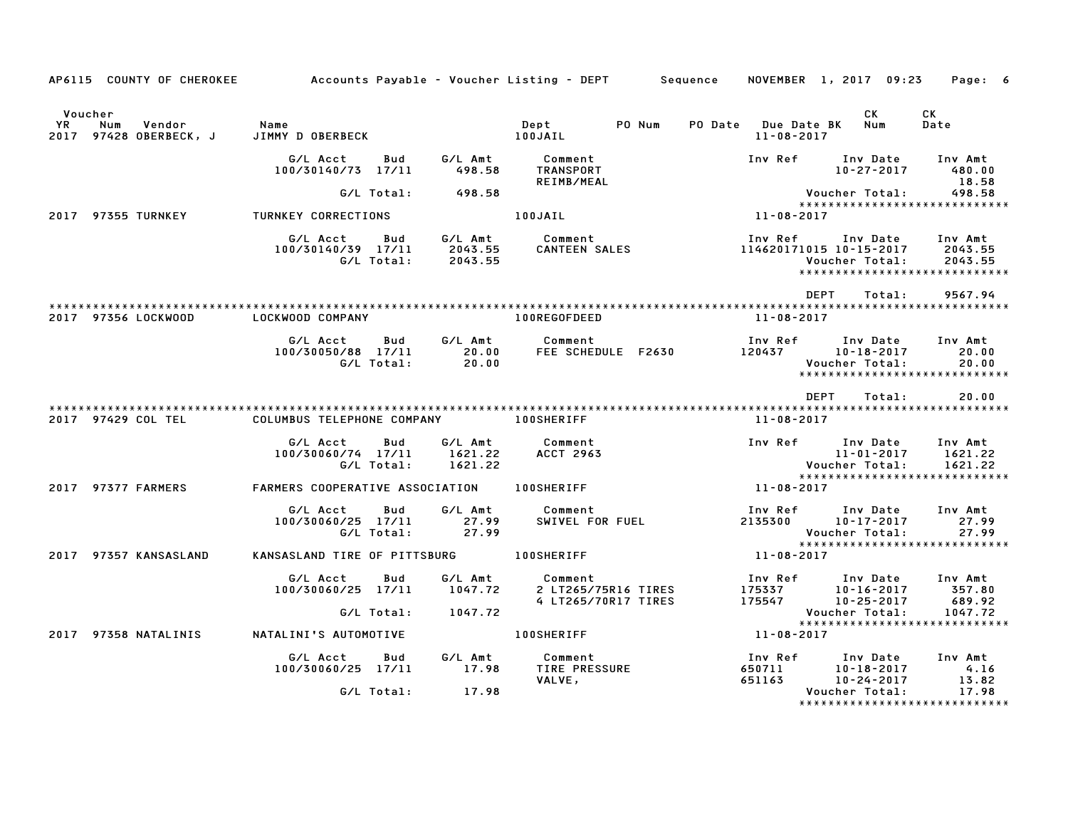| AP6115 COUNTY OF CHEROKEE                                |                                                     |                               | Accounts Payable – Voucher Listing – DEPT        Sequence |                                         | NOVEMBER 1, 2017 09:23                                                                                  | Page: 6                       |
|----------------------------------------------------------|-----------------------------------------------------|-------------------------------|-----------------------------------------------------------|-----------------------------------------|---------------------------------------------------------------------------------------------------------|-------------------------------|
| Voucher<br>YR<br>Num<br>Vendor<br>2017 97428 OBERBECK, J | Name<br>JIMMY D OBERBECK                            |                               | PO Num<br>Dept<br>100JAIL                                 | PO Date Due Date BK<br>$11 - 08 - 2017$ | CK<br>Num                                                                                               | CK<br>Date                    |
|                                                          | G/L Acct<br>Bud<br>100/30140/73 17/11               | G/L Amt<br>498.58             | Comment<br>TRANSPORT<br>REIMB/MEAL                        | Inv Ref                                 | Inv Date<br>$10 - 27 - 2017$                                                                            | Inv Amt<br>480.00<br>18.58    |
|                                                          | G/L Total:                                          | 498.58                        |                                                           |                                         | Voucher Total:                                                                                          | 498.58                        |
| 2017 97355 TURNKEY                                       | TURNKEY CORRECTIONS                                 |                               | 100JAIL                                                   | 11-08-2017                              | ******************************                                                                          |                               |
|                                                          | G/L Acct<br>Bud<br>100/30140/39 17/11<br>G/L Total: | G/L Amt<br>2043.55<br>2043.55 | Comment<br><b>CANTEEN SALES</b>                           |                                         | Inv Ref Inv Date Inv Amt<br>114620171015 10-15-2017<br>Voucher Total:<br>****************************** | 2043.55<br>2043.55            |
|                                                          |                                                     |                               |                                                           |                                         | <b>DEPT</b><br>Total:                                                                                   | 9567.94                       |
| 2017 97356 LOCKWOOD                                      | LOCKWOOD COMPANY                                    |                               | 100REGOFDEED                                              | 11-08-2017                              |                                                                                                         |                               |
|                                                          | G/L Acct<br>Bud<br>100/30050/88 17/11<br>G/L Total: | G/L Amt<br>20.00<br>20.00     | Comment<br>FEE SCHEDULE F2630                             |                                         | Inv Ref      Inv Date<br>120437 10-18-2017<br>Voucher Total:<br>*****************************           | Inv Amt<br>20.00<br>20.00     |
|                                                          |                                                     |                               |                                                           |                                         | <b>DEPT</b><br>Total:                                                                                   | 20.00                         |
| 2017 97429 COL TEL                                       | COLUMBUS TELEPHONE COMPANY 100SHERIFF               |                               |                                                           | 11-08-2017                              |                                                                                                         |                               |
|                                                          | G/L Acct<br>Bud<br>100/30060/74 17/11<br>G/L Total: | G/L Amt<br>1621.22<br>1621.22 | Comment<br><b>ACCT 2963</b>                               | Inv Ref                                 | Inv Date<br>11-01-2017<br>Voucher Total:                                                                | Inv Amt<br>1621.22<br>1621.22 |
| 2017 97377 FARMERS                                       | FARMERS COOPERATIVE ASSOCIATION 100SHERIFF          |                               |                                                           | 11-08-2017                              | ******************************                                                                          |                               |
|                                                          | G/L Acct<br>Bud<br>100/30060/25 17/11<br>G/L Total: | G/L Amt<br>27.99<br>27.99     | Comment<br>SWIVEL FOR FUEL                                | Inv Ref                                 | Inv Date<br>2135300 10-17-2017<br>Voucher Total:                                                        | Inv Amt<br>27.99<br>27.99     |
| 2017 97357 KANSASLAND                                    | KANSASLAND TIRE OF PITTSBURG                        |                               | <b>100SHERIFF</b>                                         | 11-08-2017                              | *****************************                                                                           |                               |
|                                                          | G/L Acct<br>Bud<br>100/30060/25 17/11               | G/L Amt<br>1047.72            | Comment<br>2 LT265/75R16 TIRES<br>4 LT265/70R17 TIRES     | Inv Ref                                 | Inv Date<br>175337 10-16-2017<br>175547 10-25-2017                                                      | Inv Amt<br>357.80<br>689.92   |
|                                                          | G/L Total:                                          | 1047.72                       |                                                           |                                         | Voucher Total:<br>******************************                                                        | 1047.72                       |
| 2017 97358 NATALINIS                                     | NATALINI'S AUTOMOTIVE                               |                               | <b>100SHERIFF</b>                                         | 11-08-2017                              |                                                                                                         |                               |
|                                                          | G/L Acct<br>Bud<br>100/30060/25 17/11               | G/L Amt<br>17.98              | Comment<br>TIRE PRESSURE<br>VALVE,                        | Inv Ref<br>650711<br>651163             | Inv Date<br>$10 - 18 - 2017$<br>10-24-2017                                                              | Inv Amt<br>4.16<br>13.82      |
|                                                          | G/L Total:                                          | 17.98                         |                                                           |                                         | Voucher Total:<br>******************************                                                        | 17.98                         |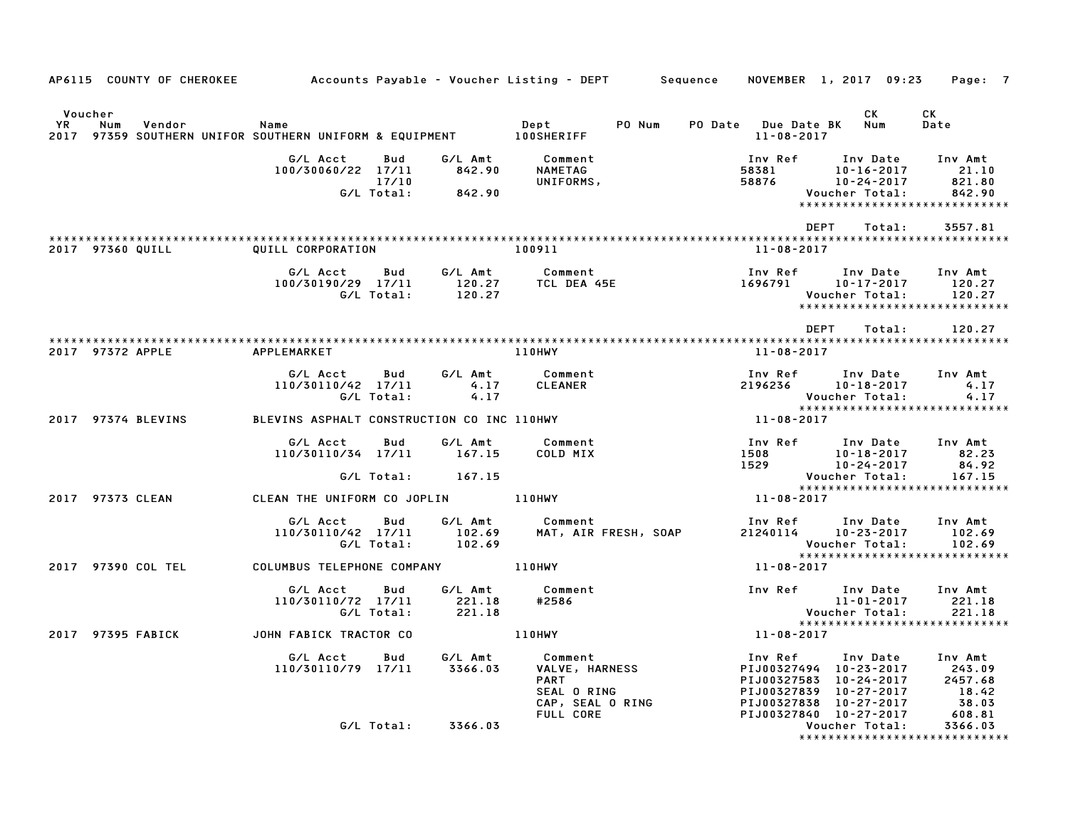|                      | AP6115 COUNTY OF CHEROKEE         Accounts Payable – Voucher Listing – DEPT     Sequence   NOVEMBER 1, 2017 09:23 |                                            |                            |                             |                                                                                               |        |                  |                                                                                                                                                   | Page: 7                              |
|----------------------|-------------------------------------------------------------------------------------------------------------------|--------------------------------------------|----------------------------|-----------------------------|-----------------------------------------------------------------------------------------------|--------|------------------|---------------------------------------------------------------------------------------------------------------------------------------------------|--------------------------------------|
| Voucher<br><b>YR</b> | Num<br>Vendor<br>2017 97359 SOUTHERN UNIFOR SOUTHERN UNIFORM & EQUIPMENT 100SHERIFF                               | Name                                       |                            |                             | Dept                                                                                          | PO Num | 11-08-2017       | CK.<br>PO Date Due Date BK Num                                                                                                                    | CK<br>Date                           |
|                      |                                                                                                                   | G/L Acct<br>100/30060/22 17/11             | Bud<br>17/10<br>G/L Total: | 842.90<br>842.90            | G/L Amt Comment<br>NAMETAG<br>UNIFORMS,                                                       |        | Inv Ref          | Inv Date<br>58381 10-16-2017<br>58876 10-24-2017<br>10-16-2017<br>Voucher Total:<br>******************************                                | Inv Amt<br>21.10<br>821.80<br>842.90 |
|                      | 2017 97360 QUILL                                                                                                  | QUILL CORPORATION                          |                            |                             | 100911                                                                                        |        | 11-08-2017       | DEPT<br>Total:                                                                                                                                    | 3557.81                              |
|                      |                                                                                                                   | G/L Acct                                   |                            |                             | Bud G/L Amt Comment<br>100/30190/29 17/11 120.27 TCL DEA 45E<br>G/L Total: 120.27 TCL DEA 45E |        |                  | Inv Ref Inv Date<br>$1696791$ $10-17-2017$<br>Voucher Total:<br>*****************************                                                     | Inv Amt<br>120.27<br>120.27          |
|                      | 2017 97372 APPLE                                                                                                  | APPLEMARKET                                |                            |                             | 110HWY                                                                                        |        | 11-08-2017       | DEPT<br>Total:                                                                                                                                    | 120.27                               |
|                      |                                                                                                                   | G/L Acct Bud<br>110/30110/42 17/11         | G/L Total:                 | G/L Amt<br>$4.17$<br>$4.17$ | Comment<br><b>CLEANER</b>                                                                     |        |                  | Inv Ref      Inv Date     Inv Amt<br>2196236 10-18-2017                                                                                           | 4.17                                 |
|                      | 2017 97374 BLEVINS                                                                                                | BLEVINS ASPHALT CONSTRUCTION CO INC 110HWY |                            |                             |                                                                                               |        | $11 - 08 - 2017$ |                                                                                                                                                   |                                      |
|                      |                                                                                                                   | G/L Acct<br>110/30110/34 17/11             | Bud<br>G/L Total:          | G/L Amt<br>167.15<br>167.15 | Comment<br>COLD MIX                                                                           |        |                  | 9 1nv Ref 1nv Date 1nv Amt<br>1508 10−18−2017 82.23<br>1529 10−24−2017 84.92                                                                      | 167.15                               |
|                      | 2017 97373 CLEAN                                                                                                  | CLEAN THE UNIFORM CO JOPLIN 110HWY         |                            |                             |                                                                                               |        | $11 - 08 - 2017$ | ******************************                                                                                                                    |                                      |
|                      |                                                                                                                   | G/L Acct Bud<br>110/30110/42 17/11         | G/L Total:                 | G/L Amt<br>102.69<br>102.69 | Comment<br>MAT, AIR FRESH, SOAP                                                               |        |                  | Inv Ref      Inv Date<br>21240114 10-23-2017<br>Voucher Total:                                                                                    | Inv Amt<br>102.69<br>102.69          |
|                      | 2017 97390 COL TEL COLUMBUS TELEPHONE COMPANY 110HWY                                                              |                                            |                            |                             |                                                                                               |        | 11-08-2017       | *****************************                                                                                                                     |                                      |
|                      |                                                                                                                   | G/L Acct<br>110/30110/72 17/11             | Bud<br>G/L Total:          | 221.18<br>221.18            | G/L Amt Comment<br>#2586                                                                      |        |                  | Inv Ref Inv Date<br>11-01-2017                                                                                                                    | Inv Amt                              |
|                      | 2017 97395 FABICK                                                                                                 | JOHN FABICK TRACTOR CO                     |                            |                             | 110HWY                                                                                        |        | $11 - 08 - 2017$ |                                                                                                                                                   |                                      |
|                      |                                                                                                                   | G/L Acct   Bud<br>110/30110/79 17/11       |                            | G⁄L Amt<br>3366.03          | Comment<br>Comment<br>VALVE, HARNESS<br><b>PART</b><br>SEAL O RING<br>CAP, SEAL O RING        |        |                  | 100327494 10-23-2017<br>PIJ00327583 10-24-2017 243.09<br>PIJ00327583 10-24-2017 2457.68<br>PIJ00327839 10-27-2017 18.42<br>PIJ00327838 10-27-2017 | 38.03                                |
|                      |                                                                                                                   |                                            |                            | G/L Total: 3366.03          | FULL CORE                                                                                     |        |                  | PIJ00327840 10-27-2017<br>Voucher Total:<br>******************************                                                                        | 608.81<br>3366.03                    |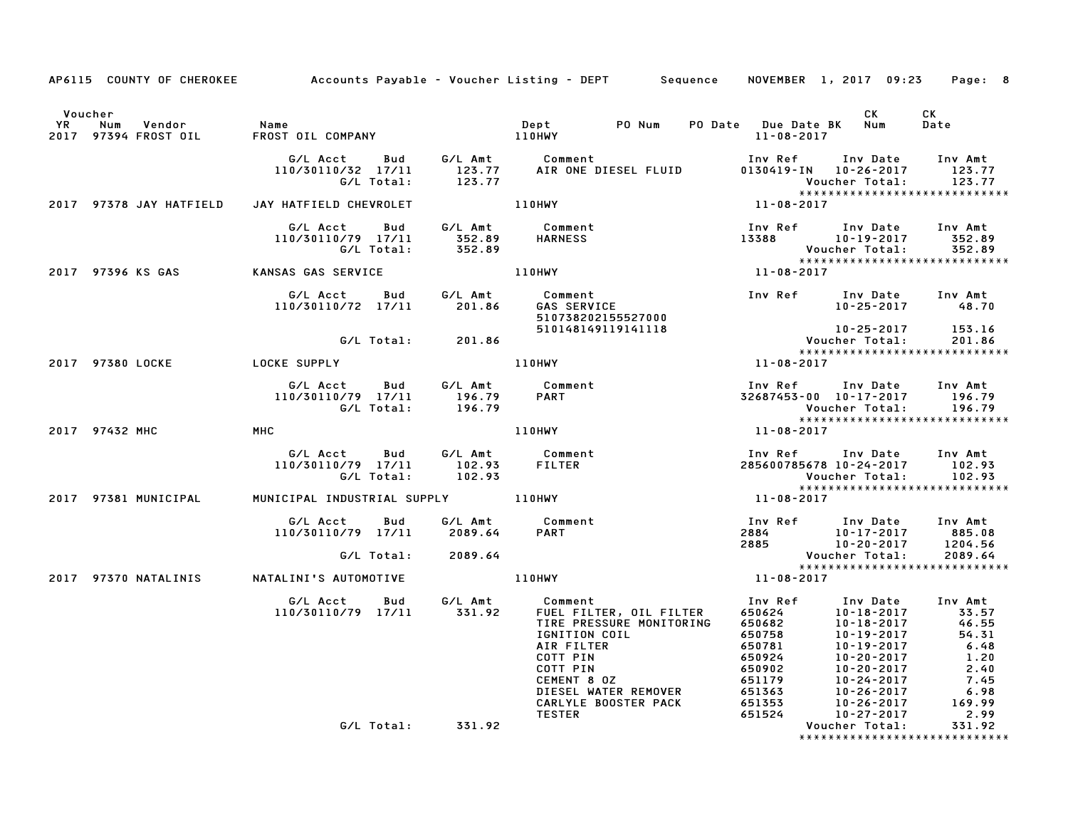| AP6115 COUNTY OF CHEROKEE Accounts Payable - Voucher Listing - DEPT Sequence NOVEMBER 1, 2017 09:23 Page: 8                                                                                                                             |                                                                                                                                                                                                                                            |                                                                                                                                        |                                                                                                                                                                                                                                                   |                                                                                                                                       |        |
|-----------------------------------------------------------------------------------------------------------------------------------------------------------------------------------------------------------------------------------------|--------------------------------------------------------------------------------------------------------------------------------------------------------------------------------------------------------------------------------------------|----------------------------------------------------------------------------------------------------------------------------------------|---------------------------------------------------------------------------------------------------------------------------------------------------------------------------------------------------------------------------------------------------|---------------------------------------------------------------------------------------------------------------------------------------|--------|
| Voucher                                                                                                                                                                                                                                 |                                                                                                                                                                                                                                            |                                                                                                                                        |                                                                                                                                                                                                                                                   | <b>CK</b>                                                                                                                             | CK     |
|                                                                                                                                                                                                                                         |                                                                                                                                                                                                                                            |                                                                                                                                        |                                                                                                                                                                                                                                                   |                                                                                                                                       | Date   |
|                                                                                                                                                                                                                                         | G/L Acct Bud G/L Amt Comment Inv Ref Inv Date Inv Amt<br>110/30110/32 17/11 123.77 AIR ONE DIESEL FLUID 0130419–IN 10–26–2017 123.77<br>G/L Total: 123.77 AIR ONE DIESEL FLUID 0130419–IN 10–26–2017 123.77<br>************************    |                                                                                                                                        |                                                                                                                                                                                                                                                   |                                                                                                                                       |        |
| 2017 97378 JAY HATFIELD JAY HATFIELD CHEVROLET                                                                                                                                                                                          |                                                                                                                                                                                                                                            | 110HWY                                                                                                                                 | $11 - 08 - 2017$                                                                                                                                                                                                                                  |                                                                                                                                       |        |
| G/L Acct Bud G/L Amt Comment Inv Ref Inv Date Inv Amt<br>110/30110/79 17/11 352.89 HARNESS 13388 10-19-2017 352.89<br>C/L Total: 352.89 6/L Total: 352.89 Voucher Total: 352.89<br>2017 97396 KS GAS KANSAS GAS SERVICE 110HWY 11-08-20 |                                                                                                                                                                                                                                            |                                                                                                                                        |                                                                                                                                                                                                                                                   |                                                                                                                                       |        |
|                                                                                                                                                                                                                                         |                                                                                                                                                                                                                                            |                                                                                                                                        |                                                                                                                                                                                                                                                   |                                                                                                                                       |        |
|                                                                                                                                                                                                                                         | 6/L Acct Bud G/L Amt Comment Inv Ref Inv Date Inv Amt<br>110/30110/72 17/11 201.86 GAS SERVICE 10–25–2017 48.70<br>510738202155527000 510148149119141118 10–25–2017 153.16<br>6/L Total: 201.86 Voucher Total: 201.86                      |                                                                                                                                        |                                                                                                                                                                                                                                                   |                                                                                                                                       |        |
|                                                                                                                                                                                                                                         |                                                                                                                                                                                                                                            |                                                                                                                                        |                                                                                                                                                                                                                                                   | 153.16 10-25-2017<br>153.16 Voucher Total: 201.86                                                                                     |        |
|                                                                                                                                                                                                                                         |                                                                                                                                                                                                                                            | 110HWY                                                                                                                                 | $11 - 08 - 2017$                                                                                                                                                                                                                                  | *****************************                                                                                                         |        |
|                                                                                                                                                                                                                                         |                                                                                                                                                                                                                                            | 196.79 Comment<br>196.79 PART 196.79 PART 196.79<br>196.79 Voucher Total: 196.79<br>196.79 Voucher Total: 196.79<br>11-08-2017<br>2017 |                                                                                                                                                                                                                                                   |                                                                                                                                       |        |
| 2017 97432 MHC MHC                                                                                                                                                                                                                      |                                                                                                                                                                                                                                            |                                                                                                                                        |                                                                                                                                                                                                                                                   |                                                                                                                                       |        |
|                                                                                                                                                                                                                                         | G/L Acct  Bud  G/L Amt  Comment<br>110/30110/79  17/11  102.93  FILTER<br>G/L Total:  102.93                                                                                                                                               |                                                                                                                                        |                                                                                                                                                                                                                                                   | Inv Ref Inv Date Inv Amt<br>285600785678 10-24-2017 102.93<br>Voucher Total: 102.93<br>********************************<br>11-08-2017 |        |
| 2017 97381 MUNICIPAL MUNICIPAL INDUSTRIAL SUPPLY 110HWY                                                                                                                                                                                 |                                                                                                                                                                                                                                            |                                                                                                                                        |                                                                                                                                                                                                                                                   |                                                                                                                                       |        |
|                                                                                                                                                                                                                                         | G/LAcct Bud G/LAmt Comment Inv Ref Inv Date Inv Amt<br>110/30110/79 17/11 2089.64 PART 2884 10-17-2017 885.08<br>G/LTotal: 2089.64 PART 2885 10-20-2017 1204.56<br>TALINI'SAUTOMOTIVE 110HWY 11-08-2017 1209.64<br>TALINI'SAUTOMOTIVE 110H |                                                                                                                                        |                                                                                                                                                                                                                                                   |                                                                                                                                       |        |
|                                                                                                                                                                                                                                         |                                                                                                                                                                                                                                            |                                                                                                                                        |                                                                                                                                                                                                                                                   |                                                                                                                                       |        |
| 2017 97370 NATALINIS NATALINI'S AUTOMOTIVE                                                                                                                                                                                              |                                                                                                                                                                                                                                            |                                                                                                                                        | $11 - 08 - 2017$                                                                                                                                                                                                                                  |                                                                                                                                       |        |
|                                                                                                                                                                                                                                         |                                                                                                                                                                                                                                            |                                                                                                                                        | Comment<br>FUEL FILTER, OIL FILTER 650624<br>INV Date Inv Date Inv Amt<br>TIRE PRESSURE MONITORING 650682<br>IGNITION COIL 650758<br>IGNITION COIL 650758<br>IO-19-2017<br>AIR FILTER 650924<br>COTT PIN 650902<br>COTT PIN 650902<br>CEMENT 8 0Z |                                                                                                                                       |        |
|                                                                                                                                                                                                                                         | G/L Total: 331.92                                                                                                                                                                                                                          |                                                                                                                                        |                                                                                                                                                                                                                                                   | Voucher Total:<br>*****************************                                                                                       | 331.92 |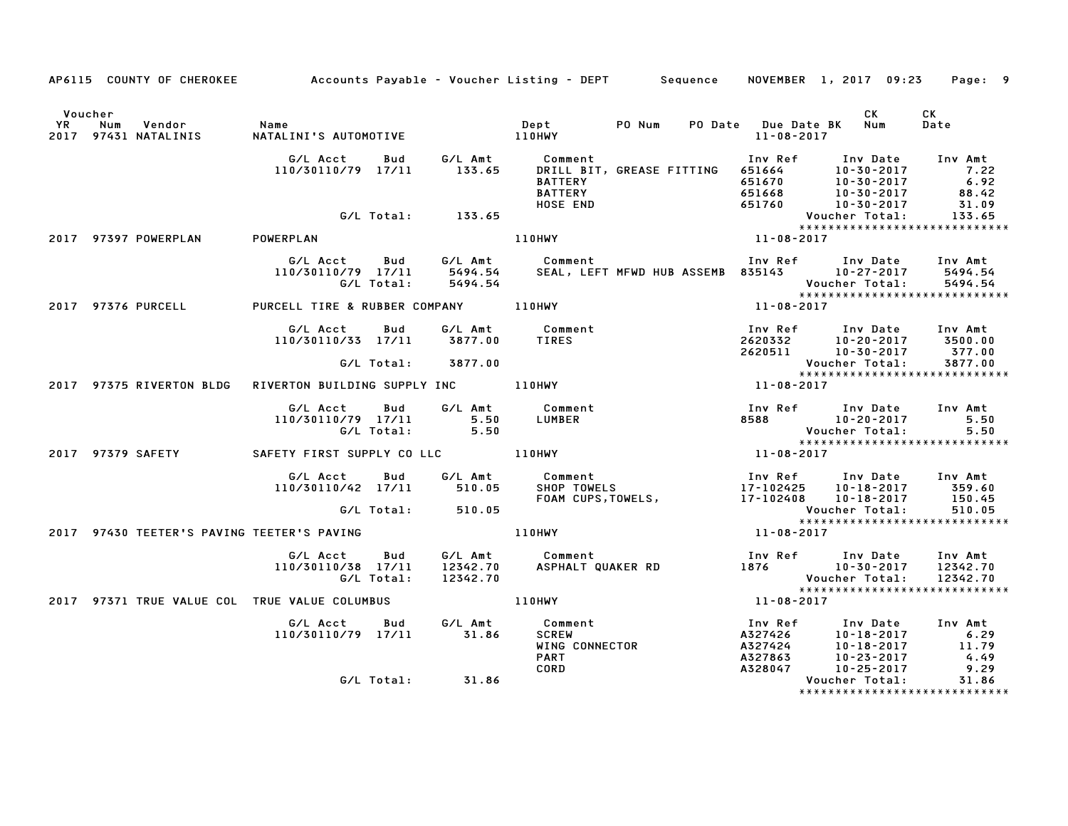|         |                                                                            |                                                                           |            |                    | AP6115 COUNTY OF CHEROKEE Accounts Payable - Voucher Listing - DEPT Sequence NOVEMBER 1, 2017 09:23 Page: 9                                                                            |                  |                                                                                                                                       |                 |
|---------|----------------------------------------------------------------------------|---------------------------------------------------------------------------|------------|--------------------|----------------------------------------------------------------------------------------------------------------------------------------------------------------------------------------|------------------|---------------------------------------------------------------------------------------------------------------------------------------|-----------------|
| Voucher | YR Num Vendor - Name<br>2017 97431 NATALINIS - NATALII                     |                                                                           |            |                    |                                                                                                                                                                                        | 11-08-2017       | CK L<br>PO Date Due Date BK Num                                                                                                       | CK<br>Date      |
|         |                                                                            | G/L Acct  Bud  G/L Amt  Comment<br>110/30110/79  17/11  133.65  DRILL BIT |            |                    | Comment<br>DRILL BIT, GREASE FITTING 651664<br>BATTERY 651664 10-30-2017 7.22<br>BATTERY 651670 10-30-2017 6.92<br>BATTERY 651668 10-30-2017 88.42<br>HOSE END 651760 10-30-2017 31.09 |                  |                                                                                                                                       |                 |
|         |                                                                            |                                                                           |            | G/L Total: 133.65  |                                                                                                                                                                                        |                  |                                                                                                                                       |                 |
|         | 2017 97397 POWERPLAN                                                       | POWERPLAN                                                                 |            |                    | Voucher Total: 133.65<br>XXXXXXXXXXXXXXXXXXXXXXXXXXXXXX<br>11-08-2017                                                                                                                  |                  |                                                                                                                                       |                 |
|         |                                                                            |                                                                           |            | G/L Total: 5494.54 | G/L Acct Bud G/L Amt Comment Inv Ref Inv Date Inv Amt<br>110/30110/79 17/11 5494.54 SEAL, LEFT MFWD HUB ASSEMB 835143 10-27-2017 5494.54                                               |                  | Voucher Total: 5494.54<br>****************************                                                                                |                 |
|         | 2017 97376 PURCELL                                                         | PURCELL TIRE & RUBBER COMPANY 110HWY                                      |            |                    | $11 - 08 - 2017$                                                                                                                                                                       |                  |                                                                                                                                       |                 |
|         |                                                                            | G/L Acct Bud                                                              |            |                    | G/L Amt Comment<br>110/30110/33 17/11 3877.00 TIRES                                                                                                                                    |                  | Inv Ref Inv Date Inv Amt<br>2620332 10-20-2017 3500.00<br>2620332 10-20-2017 3500.00<br>2620511 10-30-2017 377.00                     |                 |
|         |                                                                            |                                                                           |            | G/L Total: 3877.00 |                                                                                                                                                                                        |                  | Voucher Total:                                                                                                                        | 3877.00         |
|         | 2017 97375 RIVERTON BLDG                                                   | RIVERTON BUILDING SUPPLY INC 110HWY                                       |            |                    |                                                                                                                                                                                        |                  |                                                                                                                                       |                 |
|         |                                                                            |                                                                           |            |                    | G/L Acct  Bud  G/L Amt  Comment<br>110/30110/79  17/11   5.50  LUMBER                                                                                                                  |                  |                                                                                                                                       | Inv Amt<br>5.50 |
|         |                                                                            |                                                                           |            | G/L Total: 5.50    |                                                                                                                                                                                        |                  |                                                                                                                                       |                 |
|         |                                                                            |                                                                           |            |                    | 2017 97379 SAFETY SAFETY FIRST SUPPLY CO LLC 110HWY THE SAFETY 11-08-2017                                                                                                              |                  | ----<br>Voucher Total: 5.50<br>*****************************                                                                          |                 |
|         |                                                                            |                                                                           |            |                    |                                                                                                                                                                                        |                  | Inv Ref Inv Date Inv Amt<br>17-102425 10-18-2017 359.60                                                                               | 150.45          |
|         |                                                                            |                                                                           |            | G/L Total: 510.05  | G/L Acct Bud G/L Amt Comment 110/30110/42 17/11 510.05 SHOP TOWELS<br>110/30110/42 17/11 510.05 SHOP TOWELS, 17-102425 10-18-2017<br>FOAM CUPS,TOWELS, 17-102408 10-18-2017            |                  |                                                                                                                                       |                 |
|         | 2017 97430 TEETER'S PAVING TEETER'S PAVING TEATHER AND THE MATTEM AND MUST |                                                                           |            |                    |                                                                                                                                                                                        | $11 - 08 - 2017$ | Voucher Total: 510.05<br>****************************                                                                                 |                 |
|         |                                                                            | G/L Acct Bud<br>110/30110/38 17/11                                        | G/L Total: |                    |                                                                                                                                                                                        |                  |                                                                                                                                       |                 |
|         | 2017 97371 TRUE VALUE COL TRUE VALUE COLUMBUS                              |                                                                           |            |                    | $11 - 08 - 2017$<br>110HWY                                                                                                                                                             |                  |                                                                                                                                       |                 |
|         |                                                                            | G/L Acct Bud<br>110/30110/79 17/11 31.86                                  |            |                    | <b>LOMMe</b><br>SCREW<br>WING CONNECTOR                                                                                                                                                |                  | 1nv Ref 1nv Date 1nv Amt<br>A327426 10-18-2017 6.29<br>A327424 10-18-2017 11.79<br>A327863 10-23-2017 4.49<br>A328047 10-25-2017 9.29 |                 |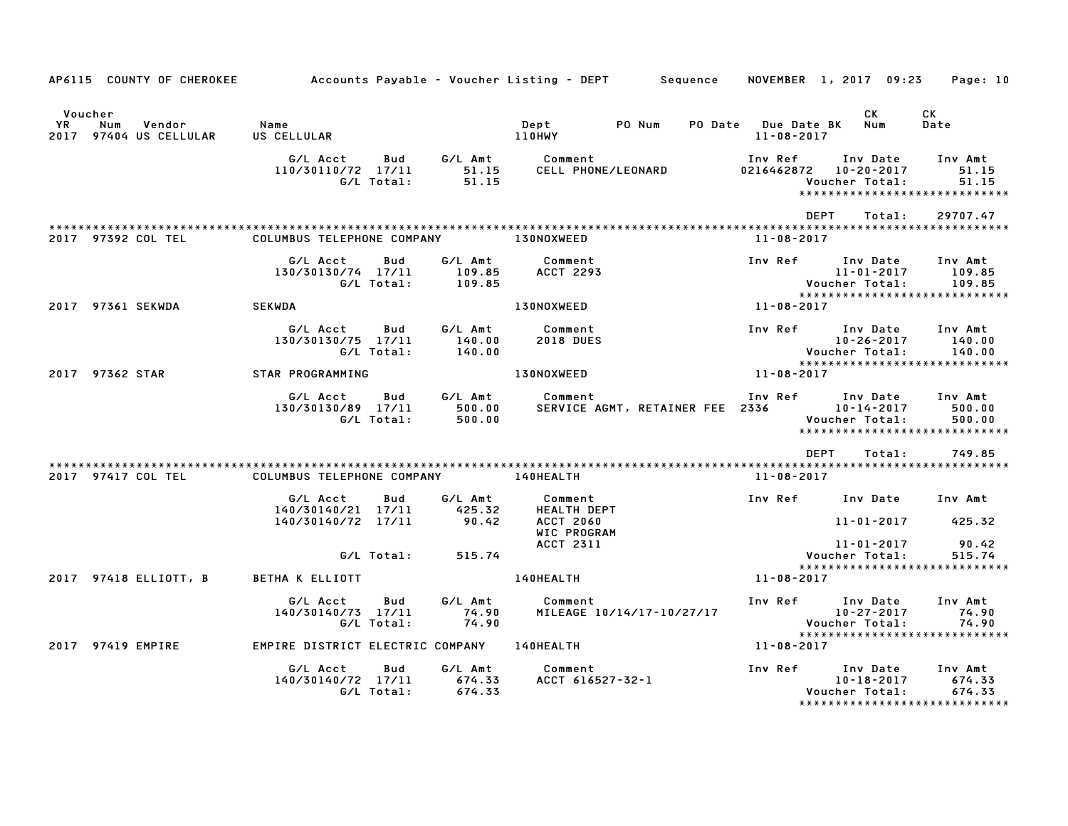| AP6115 COUNTY OF CHEROKEE                                |                                                     |                                  | Accounts Payable – Voucher Listing – DEPT         Sequence | NOVEMBER 1, 2017 09:23            |                                                | Page: 10                                                      |
|----------------------------------------------------------|-----------------------------------------------------|----------------------------------|------------------------------------------------------------|-----------------------------------|------------------------------------------------|---------------------------------------------------------------|
| Voucher<br>YR<br>Num<br>Vendor<br>2017 97404 US CELLULAR | Name<br>US CELLULAR                                 |                                  | PO Num<br>Dept<br><b>110HWY</b>                            | PO Date Due Date BK<br>11-08-2017 | CK<br>Num                                      | CK<br>Date                                                    |
|                                                          | G/L Acct<br>110/30110/72 17/11<br>G/L Total:        | G/L Amt<br>Bud<br>51.15<br>51.15 | Comment<br>CELL PHONE/LEONARD                              | Inv Ref<br>0216462872  10-20-2017 | Inv Date<br>Voucher Total:                     | Inv Amt<br>51.15<br>51.15<br>*****************************    |
|                                                          |                                                     |                                  |                                                            | <b>DEPT</b>                       | Total:                                         | 29707.47                                                      |
| 2017 97392 COL TEL                                       | COLUMBUS TELEPHONE COMPANY                          |                                  | <b>130NOXWEED</b>                                          | 11-08-2017                        |                                                |                                                               |
|                                                          | G/L Acct<br>Bud<br>130/30130/74 17/11<br>G/L Total: | G∕L Amt<br>109.85<br>109.85      | Comment<br><b>ACCT 2293</b>                                | Inv Ref      Inv Date             | 11-01-2017<br>Voucher Total:                   | Inv Amt<br>109.85<br>109.85                                   |
| 2017 97361 SEKWDA                                        | SEKWDA                                              |                                  | 130NOXWEED                                                 | 11-08-2017                        |                                                |                                                               |
|                                                          | G/L Acct<br>Bud<br>130/30130/75 17/11<br>G/L Total: | G/L Amt<br>140.00<br>140.00      | Comment<br><b>2018 DUES</b>                                | <b>Example 18 Inv Ref</b>         | Inv Date<br>$10 - 26 - 2017$<br>Voucher Total: | Inv Amt<br>140.00<br>140.00<br>*****************************  |
| 2017 97362 STAR                                          | STAR PROGRAMMING                                    |                                  | 130NOXWEED                                                 | 11-08-2017                        |                                                |                                                               |
|                                                          | G/L Acct<br>Bud<br>130/30130/89 17/11<br>G/L Total: | G/L Amt<br>500.00<br>500.00      | Comment<br>SERVICE AGMT, RETAINER FEE 2336                 | Inv Ref Inv Date                  | 10-14-2017<br>Voucher Total:                   | Inv Amt<br>500.00<br>500.00<br>****************************** |
|                                                          |                                                     |                                  |                                                            | DEPT                              | Total:                                         | 749.85                                                        |
| 2017 97417 COL TEL                                       | COLUMBUS TELEPHONE COMPANY 140HEALTH                |                                  |                                                            | 11-08-2017                        |                                                |                                                               |
|                                                          | G/L Acct<br>Bud<br>140/30140/21 17/11               | G/L Amt<br>425.32                | Comment<br><b>HEALTH DEPT</b>                              | Inv Ref Inv Date Inv Amt          |                                                |                                                               |
|                                                          | 140/30140/72 17/11                                  | 90.42                            | <b>ACCT 2060</b><br>WIC PROGRAM                            |                                   | 11-01-2017                                     | 425.32                                                        |
|                                                          | G/L Total:                                          | 515.74                           | <b>ACCT 2311</b>                                           |                                   | 11-01-2017<br>Voucher Total:                   | 90.42<br>515.74<br>*****************************              |
| 2017 97418 ELLIOTT, B                                    | BETHA K ELLIOTT                                     |                                  | <b>140HEALTH</b>                                           | 11-08-2017                        |                                                |                                                               |
|                                                          | G/L Acct<br>Bud<br>140/30140/73 17/11<br>G/L Total: | G/L Amt<br>74.90<br>74.90        | Comment<br>MILEAGE 10/14/17-10/27/17                       | Inv Ref Inv Date                  | $10 - 27 - 2017$<br>Voucher Total:             | Inv Amt<br>74.90<br>74.90<br>*****************************    |
| 2017 97419 EMPIRE                                        | EMPIRE DISTRICT ELECTRIC COMPANY 140HEALTH          |                                  |                                                            | 11-08-2017                        |                                                |                                                               |
|                                                          | G/L Acct<br>Bud<br>140/30140/72 17/11<br>G/L Total: | G/L Amt<br>674.33<br>674.33      | Comment<br>ACCT 616527-32-1                                | Inv Ref                           | Inv Date<br>10-18-2017<br>Voucher Total:       | Inv Amt<br>674.33<br>674.33<br>*****************************  |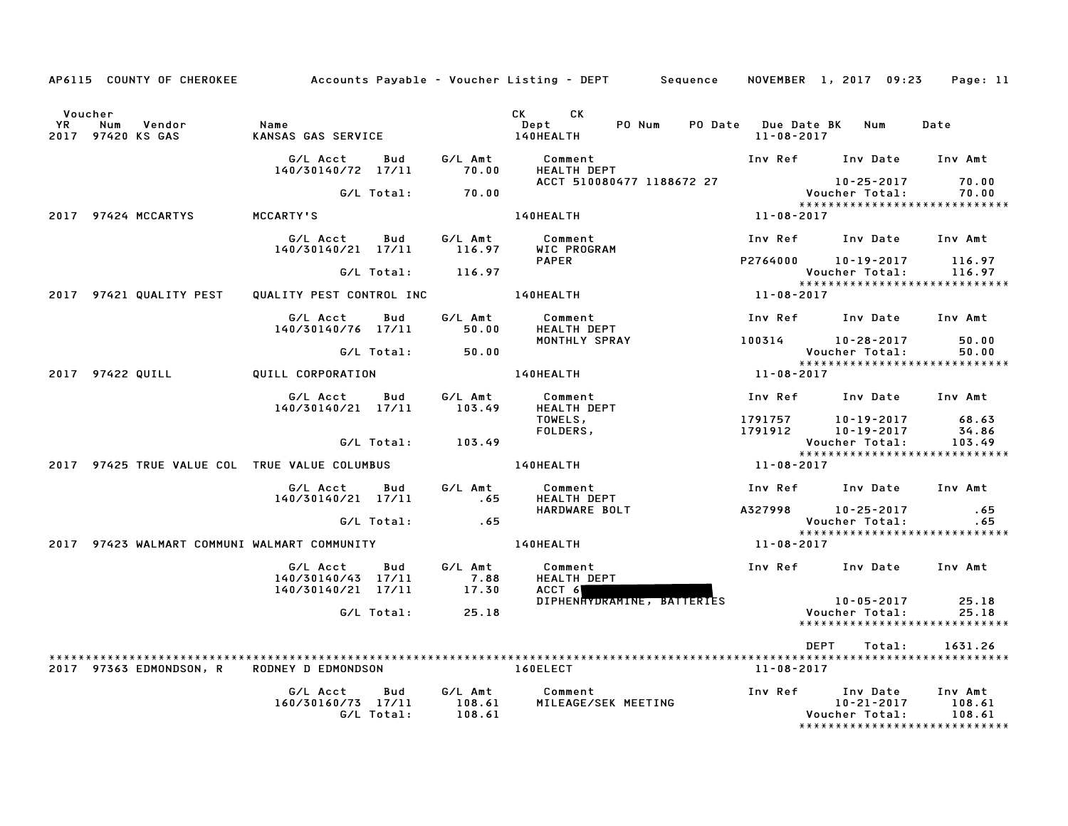|               | AP6115 COUNTY OF CHEROKEE          |                                                             |                             | Accounts Payable – Voucher Listing – DEPT         Sequence |                                       | NOVEMBER 1, 2017 09:23                                                                  | Page: 11                    |
|---------------|------------------------------------|-------------------------------------------------------------|-----------------------------|------------------------------------------------------------|---------------------------------------|-----------------------------------------------------------------------------------------|-----------------------------|
| Voucher<br>YR | Num<br>Vendor<br>2017 97420 KS GAS | Name<br>KANSAS GAS SERVICE                                  |                             | CK C<br>CK<br>PO Num<br>Dept<br>140HEALTH                  | PO Date Due Date BK Num<br>11-08-2017 |                                                                                         | Date                        |
|               |                                    | G/L Acct<br>Bud<br>140/30140/72 17/11                       | G/L Amt<br>70.00            | Comment<br>HEALTH DEPT                                     |                                       | Inv Ref Inv Date                                                                        | Inv Amt                     |
|               |                                    | G/L Total:                                                  | 70.00                       | ACCT 510080477 1188672 27                                  |                                       | 10-25-2017<br>Voucher Total:                                                            | 70.00<br>70.00              |
|               | 2017 97424 MCCARTYS                | <b>MCCARTY'S</b>                                            |                             | 140HEALTH                                                  | 11-08-2017                            | *****************************                                                           |                             |
|               |                                    | G/L Acct<br>Bud<br>140/30140/21 17/11                       | G/L Amt<br>116.97           | Comment<br>WIC PROGRAM                                     |                                       | Inv Ref Inv Date                                                                        | Inv Amt                     |
|               |                                    | G/L Total:                                                  | 116.97                      | <b>PAPER</b>                                               |                                       | P2764000 10-19-2017<br>Voucher Total:                                                   | 116.97<br>116.97            |
|               | 2017 97421 QUALITY PEST            | QUALITY PEST CONTROL INC                                    |                             | <b>140HEALTH</b>                                           | 11-08-2017                            | *****************************                                                           |                             |
|               |                                    | G/L Acct<br>Bud<br>140/30140/76 17/11                       | G/L Amt<br>50.00            | Comment<br><b>HEALTH DEPT</b>                              |                                       | Inv Ref Inv Date                                                                        | Inv Amt                     |
|               |                                    |                                                             |                             | MONTHLY SPRAY                                              |                                       | 100314 10-28-2017                                                                       | 50.00                       |
|               |                                    | G/L Total:                                                  | 50.00                       |                                                            |                                       | Voucher Total:<br>*****************************                                         | 50.00                       |
|               | 2017 97422 QUILL                   | QUILL CORPORATION                                           |                             | 140HEALTH                                                  | 11-08-2017                            |                                                                                         |                             |
|               |                                    | G/L Acct<br>Bud<br>140/30140/21 17/11                       | G/L Amt<br>103.49           | Comment<br><b>HEALTH DEPT</b>                              |                                       | Inv Ref Inv Date Inv Amt                                                                |                             |
|               |                                    |                                                             |                             | TOWELS,<br>FOLDERS,                                        |                                       | 1791757 10-19-2017<br>1791912 10-19-2017                                                | 68.63<br>34.86              |
|               |                                    | G/L Total:                                                  | 103.49                      |                                                            |                                       | Voucher Total:                                                                          | 103.49                      |
|               |                                    | 2017 97425 TRUE VALUE COL TRUE VALUE COLUMBUS               |                             | <b>140HEALTH</b>                                           | 11-08-2017                            | *****************************                                                           |                             |
|               |                                    | G/L Acct<br>Bud<br>140/30140/21 17/11                       | G/L Amt<br>.65              | Comment<br><b>HEALTH DEPT</b>                              |                                       | Inv Ref Inv Date                                                                        | Inv Amt                     |
|               |                                    | G/L Total:                                                  | .65                         | HARDWARE BOLT                                              |                                       | A327998 10-25-2017<br>Voucher Total:                                                    | .65<br>.65                  |
|               |                                    | 2017 97423 WALMART COMMUNI WALMART COMMUNITY                |                             | 140HEALTH                                                  | 11-08-2017                            | *****************************                                                           |                             |
|               |                                    | G/L Acct<br>Bud<br>140/30140/43 17/11<br>140/30140/21 17/11 | G/L Amt<br>7.88<br>17.30    | Comment<br><b>HEALTH DEPT</b><br>ACCT 6                    | Inv Ref                               | Inv Date                                                                                | Inv Amt                     |
|               |                                    | G/L Total:                                                  | 25.18                       | DIPHENHYDRAMINE, BATTERIES                                 |                                       | 10-05-2017<br>Voucher Total:<br>*****************************                           | 25.18<br>25.18              |
|               |                                    |                                                             |                             |                                                            |                                       | <b>DEPT</b><br>Total:                                                                   | 1631.26                     |
|               | 2017 97363 EDMONDSON, R            | <b>RODNEY D EDMONDSON</b>                                   |                             | 160ELECT                                                   | 11-08-2017                            |                                                                                         |                             |
|               |                                    | G/L Acct<br>Bud<br>160/30160/73 17/11<br>G/L Total:         | G/L Amt<br>108.61<br>108.61 | Comment<br>MILEAGE/SEK MEETING                             |                                       | Inv Ref Inv Date<br>$10 - 21 - 2017$<br>Voucher Total:<br>***************************** | Inv Amt<br>108.61<br>108.61 |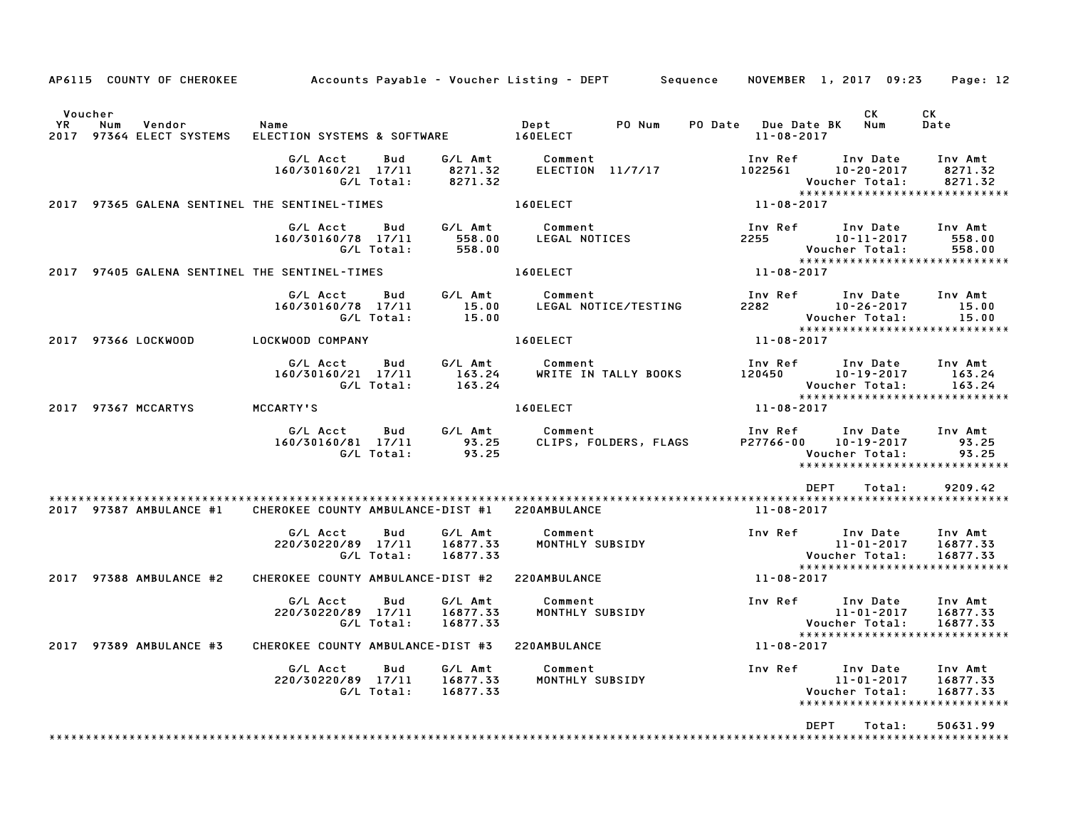|                       |     | AP6115 COUNTY OF CHEROKEE     |                                               |                   |                                 | Accounts Payable – Voucher Listing – DEPT       Sequence |                       |                                         | NOVEMBER 1, 2017 09:23                                                          | Page: 12                        |
|-----------------------|-----|-------------------------------|-----------------------------------------------|-------------------|---------------------------------|----------------------------------------------------------|-----------------------|-----------------------------------------|---------------------------------------------------------------------------------|---------------------------------|
| Voucher<br>YR<br>2017 | Num | Vendor<br>97364 ELECT SYSTEMS | Name<br>ELECTION SYSTEMS & SOFTWARE           |                   |                                 | Dept<br>160ELECT                                         | PO Num                | PO Date Due Date BK<br>$11 - 08 - 2017$ | CK.<br>Num                                                                      | СK<br>Date                      |
|                       |     |                               | G/L Acct<br>160/30160/21 17/11                | Bud<br>G/L Total: | G/L Amt<br>8271.32<br>8271.32   | Comment<br>ELECTION 11/7/17                              |                       | Inv Ref<br>1022561                      | Inv Date<br>10-20-2017<br>Voucher Total:<br>*****************************       | Inv Amt<br>8271.32<br>8271.32   |
|                       |     |                               | 2017 97365 GALENA SENTINEL THE SENTINEL-TIMES |                   |                                 | 160ELECT                                                 |                       | $11 - 08 - 2017$                        |                                                                                 |                                 |
|                       |     |                               | G/L Acct<br>160/30160/78 17/11                | Bud<br>G/L Total: | G/L Amt<br>558.00<br>558.00     | Comment<br>LEGAL NOTICES                                 |                       | Inv Ref<br>2255                         | Inv Date<br>$10 - 11 - 2017$<br>Voucher Total:<br>***************************** | Inv Amt<br>558.00<br>558.00     |
|                       |     |                               | 2017 97405 GALENA SENTINEL THE SENTINEL-TIMES |                   |                                 | 160ELECT                                                 |                       | 11-08-2017                              |                                                                                 |                                 |
|                       |     |                               | G/L Acct<br>160/30160/78 17/11                | Bud<br>G/L Total: | G/L Amt<br>15.00<br>15.00       | Comment                                                  | LEGAL NOTICE/TESTING  | Inv Ref<br>2282                         | Inv Date<br>$10 - 26 - 2017$<br>Voucher Total:                                  | Inv Amt<br>15.00<br>15.00       |
|                       |     | 2017 97366 LOCKWOOD           | LOCKWOOD COMPANY                              |                   |                                 | 160ELECT                                                 |                       | 11-08-2017                              | *****************************                                                   |                                 |
|                       |     |                               | G/L Acct<br>160/30160/21 17/11                | Bud<br>G/L Total: | G/L Amt<br>163.24<br>163.24     | Comment                                                  | WRITE IN TALLY BOOKS  | Inv Ref<br>120450                       | Inv Date<br>$10 - 19 - 2017$<br>Voucher Total:<br>***************************** | Inv Amt<br>163.24<br>163.24     |
|                       |     | 2017 97367 MCCARTYS           | MCCARTY'S                                     |                   |                                 | 160ELECT                                                 |                       | 11-08-2017                              |                                                                                 |                                 |
|                       |     |                               | G/L Acct<br>160/30160/81 17/11                | Bud<br>G/L Total: | G/L Amt<br>93.25<br>93.25       | Comment                                                  | CLIPS, FOLDERS, FLAGS | Inv Ref<br>P27766-00                    | Inv Date<br>10-19-2017<br>Voucher Total:<br>*****************************       | Inv Amt<br>93.25<br>93.25       |
|                       |     |                               |                                               |                   |                                 |                                                          |                       |                                         | <b>DEPT</b><br>Total:                                                           | 9209.42                         |
|                       |     | 2017 97387 AMBULANCE #1       | CHEROKEE COUNTY AMBULANCE-DIST #1             |                   |                                 | 220AMBULANCE                                             |                       | 11-08-2017                              |                                                                                 |                                 |
|                       |     |                               | G/L Acct<br>220/30220/89 17/11                | Bud<br>G/L Total: | G/L Amt<br>16877.33<br>16877.33 | Comment<br>MONTHLY SUBSIDY                               |                       | Inv Ref                                 | Inv Date<br>$11 - 01 - 2017$<br>Voucher Total:                                  | Inv Amt<br>16877.33<br>16877.33 |
|                       |     | 2017 97388 AMBULANCE #2       | CHEROKEE COUNTY AMBULANCE-DIST #2             |                   |                                 | 220AMBULANCE                                             |                       | 11-08-2017                              | *****************************                                                   |                                 |
|                       |     |                               | G/L Acct<br>220/30220/89 17/11                | Bud<br>G/L Total: | G/L Amt<br>16877.33<br>16877.33 | Comment<br>MONTHLY SUBSIDY                               |                       | Inv Ref                                 | Inv Date<br>$11 - 01 - 2017$<br>Voucher Total:                                  | Inv Amt<br>16877.33<br>16877.33 |
|                       |     | 2017 97389 AMBULANCE #3       | CHEROKEE COUNTY AMBULANCE-DIST #3             |                   |                                 | 220AMBULANCE                                             |                       | 11-08-2017                              | *****************************                                                   |                                 |
|                       |     |                               | G/L Acct<br>220/30220/89 17/11                | Bud<br>G/L Total: | G/L Amt<br>16877.33<br>16877.33 | Comment<br>MONTHLY SUBSIDY                               |                       | Inv Ref                                 | Inv Date<br>$11 - 01 - 2017$<br>Voucher Total:<br>***************************** | Inv Amt<br>16877.33<br>16877.33 |
|                       |     |                               |                                               |                   |                                 |                                                          |                       |                                         | <b>DEPT</b><br>Total:                                                           | 50631.99                        |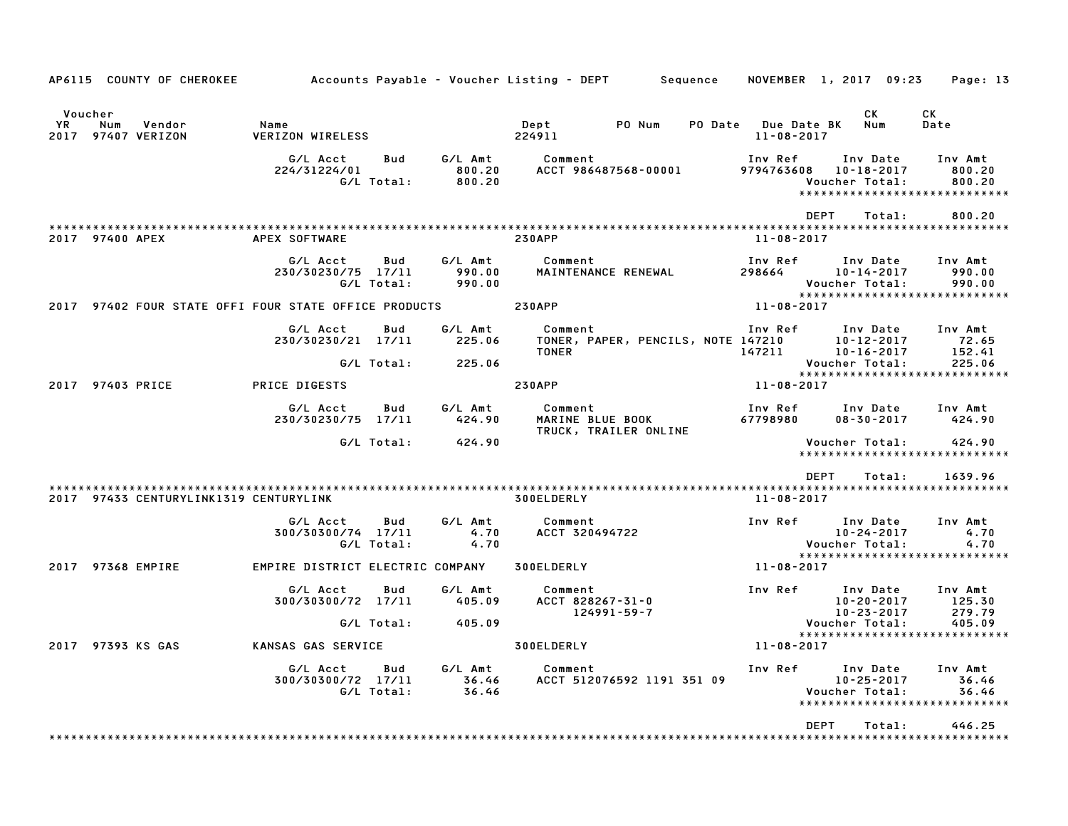|    | AP6115 COUNTY OF CHEROKEE                                    |                                  |                          |                             | Accounts Payable – Voucher Listing – DEPT        Sequence                           |                                         | NOVEMBER 1, 2017 09:23                                                          | Page: 13                    |
|----|--------------------------------------------------------------|----------------------------------|--------------------------|-----------------------------|-------------------------------------------------------------------------------------|-----------------------------------------|---------------------------------------------------------------------------------|-----------------------------|
| YR | Voucher<br>Num<br>Vendor<br>2017 97407 VERIZON               | Name<br>VERIZON WIRELESS         |                          |                             | Dept<br>PO Num<br>224911                                                            | PO Date Due Date BK<br>$11 - 08 - 2017$ | СK<br>Num                                                                       | CK<br>Date                  |
|    |                                                              | G/L Acct<br>224/31224/01         | <b>Bud</b><br>G/L Total: | 800.20<br>800.20            | G/L Amt Comment<br>ACCT 986487568-00001                                             | Inv Ref<br>9794763608                   | Inv Date<br>10-18-2017<br>Voucher Total:<br>*****************************       | Inv Amt<br>800.20<br>800.20 |
|    | 2017 97400 APEX                                              | APEX SOFTWARE                    |                          |                             | <b>230APP</b>                                                                       | 11-08-2017                              | <b>DEPT</b><br>Total:                                                           | 800.20                      |
|    |                                                              | G/L Acct<br>230/30230/75 17/11   | Bud<br>G/L Total:        | G/L Amt<br>990.00<br>990.00 | Comment<br>MAINTENANCE RENEWAL                                                      | Inv Ref<br>298664                       | Inv Date<br>10-14-2017<br>Voucher Total:<br>*****************************       | Inv Amt<br>990.00<br>990.00 |
|    | 2017 97402 FOUR STATE OFFI FOUR STATE OFFICE PRODUCTS 230APP |                                  |                          |                             |                                                                                     | $11 - 08 - 2017$                        |                                                                                 |                             |
|    |                                                              | G/L Acct<br>230/30230/21 17/11   | Bud                      | G/L Amt<br>225.06           | Comment<br>TONER, PAPER, PENCILS, NOTE 147210 10-12-2017<br>TONER 147211 10-16-2017 |                                         | Inv Ref Inv Date                                                                | Inv Amt<br>72.65<br>152.41  |
|    |                                                              |                                  | G/L Total:               | 225.06                      |                                                                                     |                                         | Voucher Total:<br>*****************************                                 | 225.06                      |
|    | 2017 97403 PRICE                                             | PRICE DIGESTS                    |                          |                             | <b>230APP</b>                                                                       | 11-08-2017                              |                                                                                 |                             |
|    |                                                              | G/L Acct<br>230/30230/75 17/11   | Bud                      | G/L Amt<br>424.90           |                                                                                     | 67798980                                | Inv Date Inv Amt<br>$08 - 30 - 2017$                                            | 424.90                      |
|    |                                                              |                                  | G/L Total:               | 424.90                      |                                                                                     |                                         | Voucher Total:<br>*****************************                                 | 424.90                      |
|    |                                                              |                                  |                          |                             |                                                                                     |                                         | <b>DEPT</b><br>Total:                                                           | 1639.96                     |
|    | 2017 97433 CENTURYLINK1319 CENTURYLINK                       |                                  |                          |                             | 300ELDERLY                                                                          | 11-08-2017                              |                                                                                 |                             |
|    |                                                              | G/L Acct<br>300/30300/74 17/11   | Bud<br>G/L Total:        | G/L Amt<br>4.70<br>4.70     | Comment<br>ACCT 320494722                                                           |                                         | Inv Ref Inv Date<br>$10 - 24 - 2017$<br>Voucher Total:                          | Inv Amt<br>4.70<br>4.70     |
|    | 2017 97368 EMPIRE                                            | EMPIRE DISTRICT ELECTRIC COMPANY |                          |                             | 300ELDERLY                                                                          | 11-08-2017                              | *****************************                                                   |                             |
|    |                                                              | G/L Acct<br>300/30300/72 17/11   | Bud                      | G/L Amt<br>405.09           | Comment<br>ACCT 828267-31-0<br>124991-59-7                                          |                                         | Inv Ref Inv Date<br>10-20-2017<br>10-23-2017                                    | Inv Amt<br>125.30<br>279.79 |
|    |                                                              |                                  | G/L Total:               | 405.09                      |                                                                                     |                                         | Voucher Total:<br>*****************************                                 | 405.09                      |
|    | 2017 97393 KS GAS                                            | KANSAS GAS SERVICE               |                          |                             | 300ELDERLY                                                                          | $11 - 08 - 2017$                        |                                                                                 |                             |
|    |                                                              | G/L Acct<br>300/30300/72 17/11   | Bud<br>G/L Total:        | G/L Amt<br>36.46<br>36.46   | Comment<br>ACCT 512076592 1191 351 09                                               | Inv Ref                                 | Inv Date<br>$10 - 25 - 2017$<br>Voucher Total:<br>***************************** | Inv Amt<br>36.46<br>36.46   |
|    |                                                              |                                  |                          |                             |                                                                                     |                                         | <b>DEPT</b><br>Total:                                                           | 446.25                      |